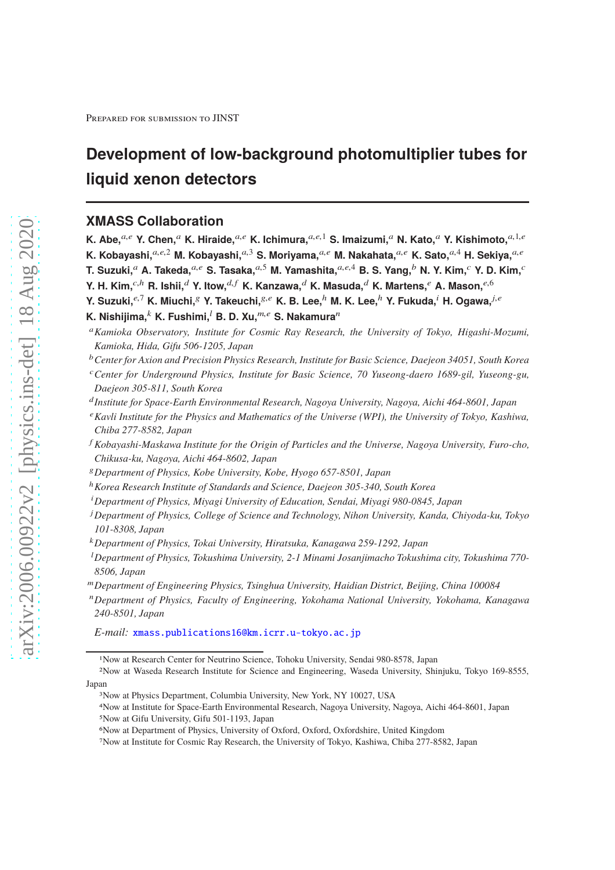# **Development of low-background photomultiplier tubes for liquid xenon detectors**

# **XMASS Collaboration**

**K. Abe,**a,<sup>e</sup> **Y. Chen,**<sup>a</sup> **K. Hiraide,**a,<sup>e</sup> **K. Ichimura,**a,e,<sup>1</sup> **S. Imaizumi,**<sup>a</sup> **N. Kato,**<sup>a</sup> **Y. Kishimoto,**a,1,<sup>e</sup> **K. Kobayashi,** $a,e,2$  **M. Kobayashi,** $a,3$  **S. Moriyama,** $a,e$  **M. Nakahata,** $a,e$  **K. Sato,** $a,4$  **H. Sekiya,** $a,e$ **T. Suzuki,**<sup>a</sup> **A. Takeda,**a,<sup>e</sup> **S. Tasaka,**a,<sup>5</sup> **M. Yamashita,**a,e,<sup>4</sup> **B. S. Yang,**<sup>b</sup> **N. Y. Kim,**<sup>c</sup> **Y. D. Kim,**<sup>c</sup> **Y. H. Kim,**<sup>c,h</sup> **R. Ishii,**<sup>d</sup> **Y. Itow,**<sup>d,f</sup> **K. Kanzawa,**<sup>d</sup> **K. Masuda,**<sup>d</sup> **K. Martens,**<sup>e</sup> **A. Mason,**<sup>e,6</sup> **Y. Suzuki,**e,<sup>7</sup> **K. Miuchi,**<sup>g</sup> **Y. Takeuchi,**g,<sup>e</sup> **K. B. Lee,**<sup>h</sup> **M. K. Lee,**<sup>h</sup> **Y. Fukuda,**<sup>i</sup> **H. Ogawa,**j,<sup>e</sup>

**K. Nishijima,**<sup>k</sup> **K. Fushimi,<sup>l</sup> B. D. Xu,**<sup>m,e</sup> S. Nakamura<sup>n</sup>

<sup>a</sup>*Kamioka Observatory, Institute for Cosmic Ray Research, the University of Tokyo, Higashi-Mozumi, Kamioka, Hida, Gifu 506-1205, Japan*

- <sup>b</sup>*Center for Axion and Precision Physics Research, Institute for Basic Science, Daejeon 34051, South Korea*
- <sup>c</sup>*Center for Underground Physics, Institute for Basic Science, 70 Yuseong-daero 1689-gil, Yuseong-gu, Daejeon 305-811, South Korea*
- d *Institute for Space-Earth Environmental Research, Nagoya University, Nagoya, Aichi 464-8601, Japan*
- <sup>e</sup>*Kavli Institute for the Physics and Mathematics of the Universe (WPI), the University of Tokyo, Kashiwa, Chiba 277-8582, Japan*
- <sup>f</sup> *Kobayashi-Maskawa Institute for the Origin of Particles and the Universe, Nagoya University, Furo-cho, Chikusa-ku, Nagoya, Aichi 464-8602, Japan*
- <sup>g</sup>*Department of Physics, Kobe University, Kobe, Hyogo 657-8501, Japan*
- <sup>h</sup>*Korea Research Institute of Standards and Science, Daejeon 305-340, South Korea*
- <sup>i</sup>*Department of Physics, Miyagi University of Education, Sendai, Miyagi 980-0845, Japan*
- <sup>j</sup>*Department of Physics, College of Science and Technology, Nihon University, Kanda, Chiyoda-ku, Tokyo 101-8308, Japan*
- <sup>k</sup>*Department of Physics, Tokai University, Hiratsuka, Kanagawa 259-1292, Japan*
- <sup>l</sup>*Department of Physics, Tokushima University, 2-1 Minami Josanjimacho Tokushima city, Tokushima 770- 8506, Japan*
- <sup>m</sup>*Department of Engineering Physics, Tsinghua University, Haidian District, Beijing, China 100084*
- <sup>n</sup>*Department of Physics, Faculty of Engineering, Yokohama National University, Yokohama, Kanagawa 240-8501, Japan*

*E-mail:* [xmass.publications16@km.icrr.u-tokyo.ac.jp](mailto:xmass.publications16@km.icrr.u-tokyo.ac.jp)

<sup>1</sup>Now at Research Center for Neutrino Science, Tohoku University, Sendai 980-8578, Japan

<sup>2</sup>Now at Waseda Research Institute for Science and Engineering, Waseda University, Shinjuku, Tokyo 169-8555, Japan

<sup>3</sup>Now at Physics Department, Columbia University, New York, NY 10027, USA

<sup>4</sup>Now at Institute for Space-Earth Environmental Research, Nagoya University, Nagoya, Aichi 464-8601, Japan 5Now at Gifu University, Gifu 501-1193, Japan

<sup>6</sup>Now at Department of Physics, University of Oxford, Oxford, Oxfordshire, United Kingdom

<sup>7</sup>Now at Institute for Cosmic Ray Research, the University of Tokyo, Kashiwa, Chiba 277-8582, Japan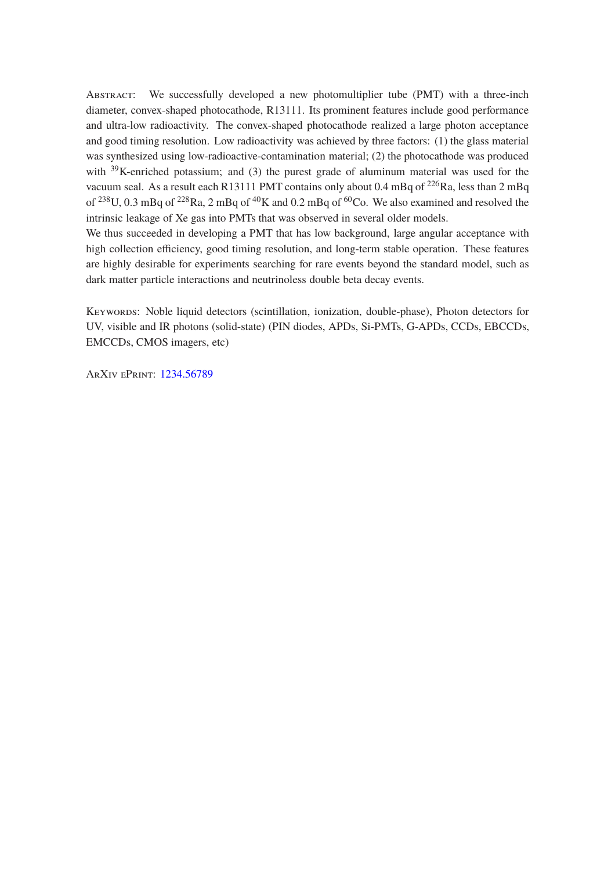Abstract: We successfully developed a new photomultiplier tube (PMT) with a three-inch diameter, convex-shaped photocathode, R13111. Its prominent features include good performance and ultra-low radioactivity. The convex-shaped photocathode realized a large photon acceptance and good timing resolution. Low radioactivity was achieved by three factors: (1) the glass material was synthesized using low-radioactive-contamination material; (2) the photocathode was produced with <sup>39</sup>K-enriched potassium; and (3) the purest grade of aluminum material was used for the vacuum seal. As a result each R13111 PMT contains only about 0.4 mBq of  $^{226}$ Ra, less than 2 mBq of  $^{238}$ U, 0.3 mBq of  $^{228}$ Ra, 2 mBq of  $^{40}$ K and 0.2 mBq of  $^{60}$ Co. We also examined and resolved the intrinsic leakage of Xe gas into PMTs that was observed in several older models.

We thus succeeded in developing a PMT that has low background, large angular acceptance with high collection efficiency, good timing resolution, and long-term stable operation. These features are highly desirable for experiments searching for rare events beyond the standard model, such as dark matter particle interactions and neutrinoless double beta decay events.

Keywords: Noble liquid detectors (scintillation, ionization, double-phase), Photon detectors for UV, visible and IR photons (solid-state) (PIN diodes, APDs, Si-PMTs, G-APDs, CCDs, EBCCDs, EMCCDs, CMOS imagers, etc)

ArXiv ePrint: [1234.56789](http://arxiv.org/abs/1234.56789)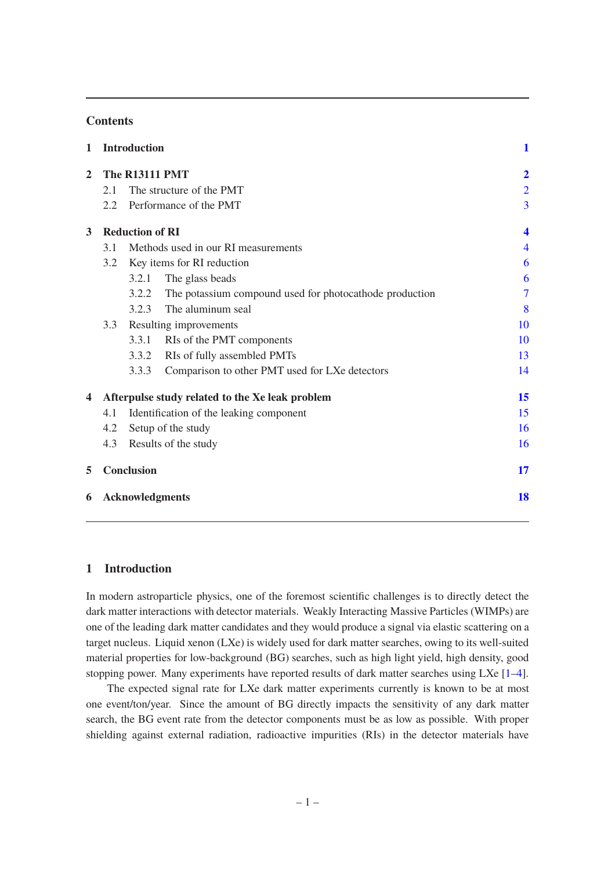## **Contents**

| 1              |                        | <b>Introduction</b>    |                                                         | 1                |  |  |  |
|----------------|------------------------|------------------------|---------------------------------------------------------|------------------|--|--|--|
| $\overline{2}$ | <b>The R13111 PMT</b>  |                        |                                                         |                  |  |  |  |
|                | 2.1                    |                        | The structure of the PMT                                | $\overline{2}$   |  |  |  |
|                | 2.2                    |                        | Performance of the PMT                                  | $\overline{3}$   |  |  |  |
| 3              |                        | <b>Reduction of RI</b> |                                                         | $\boldsymbol{4}$ |  |  |  |
|                | 3.1                    |                        | Methods used in our RI measurements                     | $\overline{4}$   |  |  |  |
|                | 3.2                    |                        | Key items for RI reduction                              | 6                |  |  |  |
|                |                        | 3.2.1                  | The glass beads                                         | 6                |  |  |  |
|                |                        | 3.2.2                  | The potassium compound used for photocathode production | $\overline{7}$   |  |  |  |
|                |                        | 3.2.3                  | The aluminum seal                                       | 8                |  |  |  |
|                | 3.3                    |                        | Resulting improvements                                  | 10               |  |  |  |
|                |                        | 3.3.1                  | RIs of the PMT components                               | 10               |  |  |  |
|                |                        | 3.3.2                  | RIs of fully assembled PMTs                             | 13               |  |  |  |
|                |                        | 3.3.3                  | Comparison to other PMT used for LXe detectors          | 14               |  |  |  |
| 4              |                        |                        | Afterpulse study related to the Xe leak problem         | 15               |  |  |  |
|                | 4.1                    |                        | Identification of the leaking component                 | 15               |  |  |  |
|                | 4.2                    | Setup of the study     |                                                         | 16               |  |  |  |
|                | 4.3                    | Results of the study   |                                                         | 16               |  |  |  |
| 5              |                        | <b>Conclusion</b>      |                                                         | 17               |  |  |  |
| 6              | <b>Acknowledgments</b> |                        |                                                         |                  |  |  |  |
|                |                        |                        |                                                         |                  |  |  |  |

## <span id="page-2-0"></span>**1 Introduction**

In modern astroparticle physics, one of the foremost scientific challenges is to directly detect the dark matter interactions with detector materials. Weakly Interacting Massive Particles (WIMPs) are one of the leading dark matter candidates and they would produce a signal via elastic scattering on a target nucleus. Liquid xenon (LXe) is widely used for dark matter searches, owing to its well-suited material properties for low-background (BG) searches, such as high light yield, high density, good stopping power. Many experiments have reported results of dark matter searches using LXe [\[1](#page-19-1)[–4](#page-19-2)].

The expected signal rate for LXe dark matter experiments currently is known to be at most one event/ton/year. Since the amount of BG directly impacts the sensitivity of any dark matter search, the BG event rate from the detector components must be as low as possible. With proper shielding against external radiation, radioactive impurities (RIs) in the detector materials have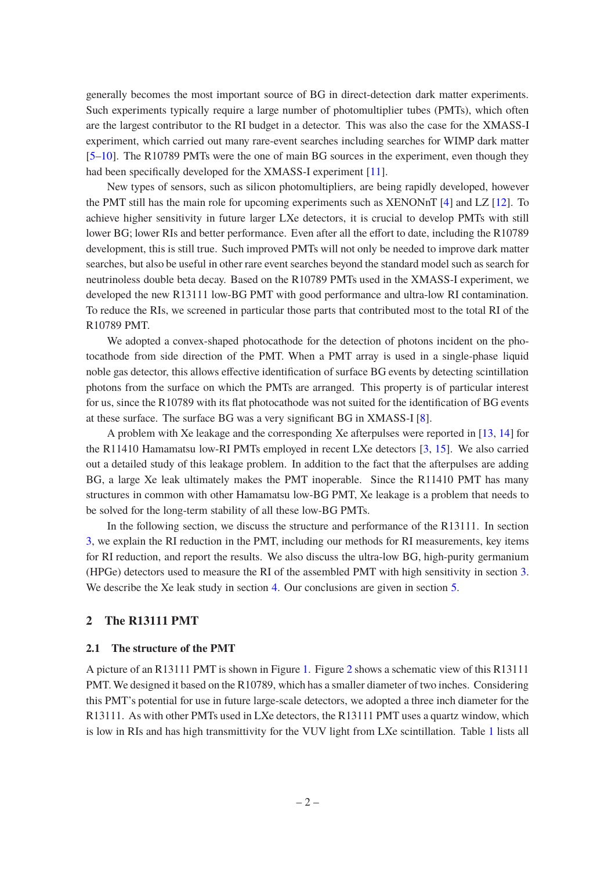generally becomes the most important source of BG in direct-detection dark matter experiments. Such experiments typically require a large number of photomultiplier tubes (PMTs), which often are the largest contributor to the RI budget in a detector. This was also the case for the XMASS-I experiment, which carried out many rare-event searches including searches for WIMP dark matter [\[5](#page-19-3)[–10\]](#page-20-0). The R10789 PMTs were the one of main BG sources in the experiment, even though they had been specifically developed for the XMASS-I experiment [\[11](#page-20-1)].

New types of sensors, such as silicon photomultipliers, are being rapidly developed, however the PMT still has the main role for upcoming experiments such as XENONnT [\[4\]](#page-19-2) and LZ [\[12](#page-20-2)]. To achieve higher sensitivity in future larger LXe detectors, it is crucial to develop PMTs with still lower BG; lower RIs and better performance. Even after all the effort to date, including the R10789 development, this is still true. Such improved PMTs will not only be needed to improve dark matter searches, but also be useful in other rare event searches beyond the standard model such as search for neutrinoless double beta decay. Based on the R10789 PMTs used in the XMASS-I experiment, we developed the new R13111 low-BG PMT with good performance and ultra-low RI contamination. To reduce the RIs, we screened in particular those parts that contributed most to the total RI of the R10789 PMT.

We adopted a convex-shaped photocathode for the detection of photons incident on the photocathode from side direction of the PMT. When a PMT array is used in a single-phase liquid noble gas detector, this allows effective identification of surface BG events by detecting scintillation photons from the surface on which the PMTs are arranged. This property is of particular interest for us, since the R10789 with its flat photocathode was not suited for the identification of BG events at these surface. The surface BG was a very significant BG in XMASS-I [\[8\]](#page-20-3).

A problem with Xe leakage and the corresponding Xe afterpulses were reported in [\[13](#page-20-4), [14](#page-20-5)] for the R11410 Hamamatsu low-RI PMTs employed in recent LXe detectors [\[3](#page-19-4), [15\]](#page-20-6). We also carried out a detailed study of this leakage problem. In addition to the fact that the afterpulses are adding BG, a large Xe leak ultimately makes the PMT inoperable. Since the R11410 PMT has many structures in common with other Hamamatsu low-BG PMT, Xe leakage is a problem that needs to be solved for the long-term stability of all these low-BG PMTs.

In the following section, we discuss the structure and performance of the R13111. In section [3,](#page-5-0) we explain the RI reduction in the PMT, including our methods for RI measurements, key items for RI reduction, and report the results. We also discuss the ultra-low BG, high-purity germanium (HPGe) detectors used to measure the RI of the assembled PMT with high sensitivity in section [3.](#page-5-0) We describe the Xe leak study in section [4.](#page-16-0) Our conclusions are given in section [5.](#page-18-0)

## <span id="page-3-1"></span><span id="page-3-0"></span>**2 The R13111 PMT**

#### **2.1 The structure of the PMT**

A picture of an R13111 PMT is shown in Figure [1.](#page-4-1) Figure [2](#page-5-2) shows a schematic view of this R13111 PMT. We designed it based on the R10789, which has a smaller diameter of two inches. Considering this PMT's potential for use in future large-scale detectors, we adopted a three inch diameter for the R13111. As with other PMTs used in LXe detectors, the R13111 PMT uses a quartz window, which is low in RIs and has high transmittivity for the VUV light from LXe scintillation. Table [1](#page-6-0) lists all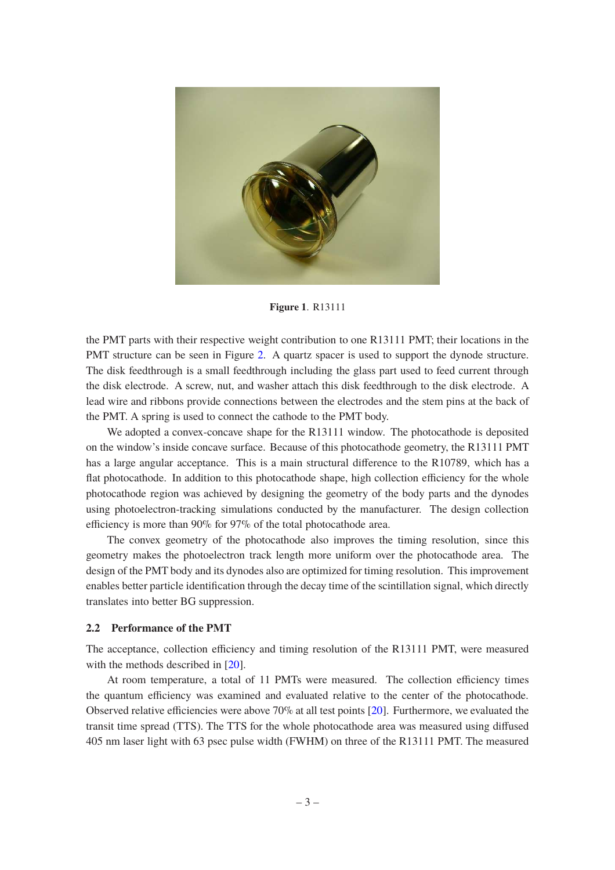

**Figure 1**. R13111

<span id="page-4-1"></span>the PMT parts with their respective weight contribution to one R13111 PMT; their locations in the PMT structure can be seen in Figure [2.](#page-5-2) A quartz spacer is used to support the dynode structure. The disk feedthrough is a small feedthrough including the glass part used to feed current through the disk electrode. A screw, nut, and washer attach this disk feedthrough to the disk electrode. A lead wire and ribbons provide connections between the electrodes and the stem pins at the back of the PMT. A spring is used to connect the cathode to the PMT body.

We adopted a convex-concave shape for the R13111 window. The photocathode is deposited on the window's inside concave surface. Because of this photocathode geometry, the R13111 PMT has a large angular acceptance. This is a main structural difference to the R10789, which has a flat photocathode. In addition to this photocathode shape, high collection efficiency for the whole photocathode region was achieved by designing the geometry of the body parts and the dynodes using photoelectron-tracking simulations conducted by the manufacturer. The design collection efficiency is more than 90% for 97% of the total photocathode area.

The convex geometry of the photocathode also improves the timing resolution, since this geometry makes the photoelectron track length more uniform over the photocathode area. The design of the PMT body and its dynodes also are optimized for timing resolution. This improvement enables better particle identification through the decay time of the scintillation signal, which directly translates into better BG suppression.

#### <span id="page-4-0"></span>**2.2 Performance of the PMT**

The acceptance, collection efficiency and timing resolution of the R13111 PMT, were measured with the methods described in [\[20\]](#page-20-7).

At room temperature, a total of 11 PMTs were measured. The collection efficiency times the quantum efficiency was examined and evaluated relative to the center of the photocathode. Observed relative efficiencies were above 70% at all test points [\[20](#page-20-7)]. Furthermore, we evaluated the transit time spread (TTS). The TTS for the whole photocathode area was measured using diffused 405 nm laser light with 63 psec pulse width (FWHM) on three of the R13111 PMT. The measured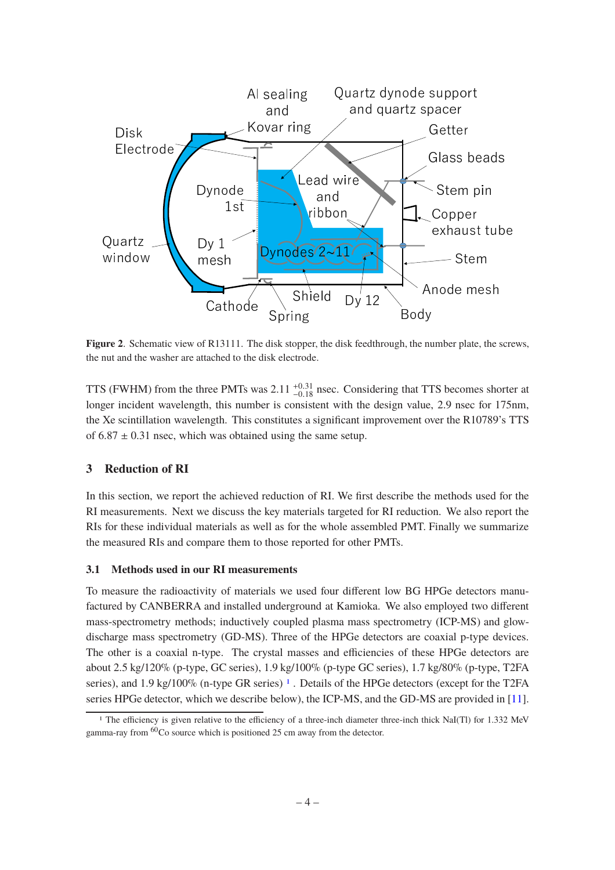

<span id="page-5-2"></span>**Figure 2.** Schematic view of R13111. The disk stopper, the disk feedthrough, the number plate, the screws, the nut and the washer are attached to the disk electrode.

TTS (FWHM) from the three PMTs was  $2.11_{-0.18}^{+0.31}$  nsec. Considering that TTS becomes shorter at longer incident wavelength, this number is consistent with the design value, 2.9 nsec for 175nm, the Xe scintillation wavelength. This constitutes a significant improvement over the R10789's TTS of  $6.87 \pm 0.31$  nsec, which was obtained using the same setup.

# <span id="page-5-0"></span>**3 Reduction of RI**

In this section, we report the achieved reduction of RI. We first describe the methods used for the RI measurements. Next we discuss the key materials targeted for RI reduction. We also report the RIs for these individual materials as well as for the whole assembled PMT. Finally we summarize the measured RIs and compare them to those reported for other PMTs.

#### <span id="page-5-1"></span>**3.1 Methods used in our RI measurements**

To measure the radioactivity of materials we used four different low BG HPGe detectors manufactured by CANBERRA and installed underground at Kamioka. We also employed two different mass-spectrometry methods; inductively coupled plasma mass spectrometry (ICP-MS) and glowdischarge mass spectrometry (GD-MS). Three of the HPGe detectors are coaxial p-type devices. The other is a coaxial n-type. The crystal masses and efficiencies of these HPGe detectors are about 2.5 kg/120% (p-type, GC series), 1.9 kg/100% (p-type GC series), 1.7 kg/80% (p-type, T2FA series), and [1](#page-5-3).9 kg/100% (n-type GR series)<sup>1</sup>. Details of the HPGe detectors (except for the T2FA series HPGe detector, which we describe below), the ICP-MS, and the GD-MS are provided in [\[11](#page-20-1)].

<span id="page-5-3"></span><sup>1</sup> The efficiency is given relative to the efficiency of a three-inch diameter three-inch thick NaI(Tl) for 1.332 MeV gamma-ray from <sup>60</sup>Co source which is positioned 25 cm away from the detector.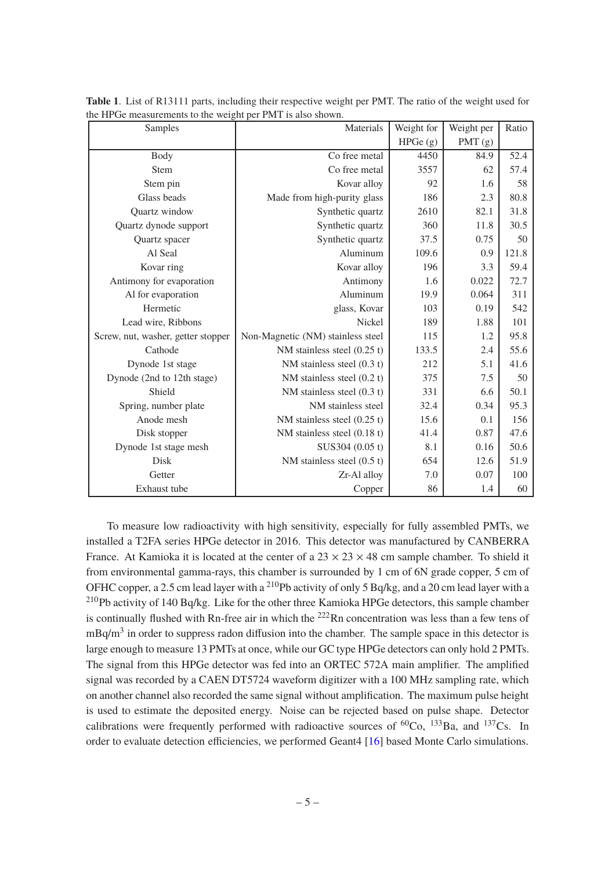| Samples                            | Materials                         | Weight for | Weight per | Ratio |
|------------------------------------|-----------------------------------|------------|------------|-------|
|                                    |                                   | HPGe (g)   | PMT (g)    |       |
| <b>Body</b>                        | Co free metal                     | 4450       | 84.9       | 52.4  |
| <b>Stem</b>                        | Co free metal                     | 3557       | 62         | 57.4  |
| Stem pin                           | Kovar alloy                       | 92         | 1.6        | 58    |
| Glass beads                        | Made from high-purity glass       | 186        | 2.3        | 80.8  |
| Quartz window                      | Synthetic quartz                  | 2610       | 82.1       | 31.8  |
| Quartz dynode support              | Synthetic quartz                  | 360        | 11.8       | 30.5  |
| Quartz spacer                      | Synthetic quartz                  | 37.5       | 0.75       | 50    |
| Al Seal                            | Aluminum                          | 109.6      | 0.9        | 121.8 |
| Kovar ring                         | Kovar alloy                       | 196        | 3.3        | 59.4  |
| Antimony for evaporation           | Antimony                          | 1.6        | 0.022      | 72.7  |
| Al for evaporation                 | Aluminum                          | 19.9       | 0.064      | 311   |
| Hermetic                           | glass, Kovar                      | 103        | 0.19       | 542   |
| Lead wire, Ribbons                 | Nickel                            | 189        | 1.88       | 101   |
| Screw, nut, washer, getter stopper | Non-Magnetic (NM) stainless steel | 115        | 1.2        | 95.8  |
| Cathode                            | NM stainless steel $(0.25 t)$     | 133.5      | 2.4        | 55.6  |
| Dynode 1st stage                   | NM stainless steel $(0.3 t)$      | 212        | 5.1        | 41.6  |
| Dynode (2nd to 12th stage)         | NM stainless steel $(0.2 t)$      | 375        | 7.5        | 50    |
| Shield                             | NM stainless steel $(0.3 t)$      | 331        | 6.6        | 50.1  |
| Spring, number plate               | NM stainless steel                | 32.4       | 0.34       | 95.3  |
| Anode mesh                         | NM stainless steel $(0.25 t)$     | 15.6       | 0.1        | 156   |
| Disk stopper                       | NM stainless steel $(0.18 t)$     | 41.4       | 0.87       | 47.6  |
| Dynode 1st stage mesh              | SUS304 (0.05 t)                   | 8.1        | 0.16       | 50.6  |
| Disk                               | NM stainless steel $(0.5 t)$      | 654        | 12.6       | 51.9  |
| Getter                             | Zr-Al alloy                       | 7.0        | 0.07       | 100   |
| Exhaust tube                       | Copper                            | 86         | 1.4        | 60    |

<span id="page-6-0"></span>**Table 1**. List of R13111 parts, including their respective weight per PMT. The ratio of the weight used for the HPGe measurements to the weight per PMT is also shown.

To measure low radioactivity with high sensitivity, especially for fully assembled PMTs, we installed a T2FA series HPGe detector in 2016. This detector was manufactured by CANBERRA France. At Kamioka it is located at the center of a  $23 \times 23 \times 48$  cm sample chamber. To shield it from environmental gamma-rays, this chamber is surrounded by 1 cm of 6N grade copper, 5 cm of OFHC copper, a 2.5 cm lead layer with a <sup>210</sup>Pb activity of only 5 Bq/kg, and a 20 cm lead layer with a <sup>210</sup>Pb activity of 140 Bq/kg. Like for the other three Kamioka HPGe detectors, this sample chamber is continually flushed with Rn-free air in which the  $^{222}$ Rn concentration was less than a few tens of  $mBq/m<sup>3</sup>$  in order to suppress radon diffusion into the chamber. The sample space in this detector is large enough to measure 13 PMTs at once, while our GC type HPGe detectors can only hold 2 PMTs. The signal from this HPGe detector was fed into an ORTEC 572A main amplifier. The amplified signal was recorded by a CAEN DT5724 waveform digitizer with a 100 MHz sampling rate, which on another channel also recorded the same signal without amplification. The maximum pulse height is used to estimate the deposited energy. Noise can be rejected based on pulse shape. Detector calibrations were frequently performed with radioactive sources of  ${}^{60}Co$ ,  ${}^{133}Ba$ , and  ${}^{137}Cs$ . In order to evaluate detection efficiencies, we performed Geant4 [\[16](#page-20-8)] based Monte Carlo simulations.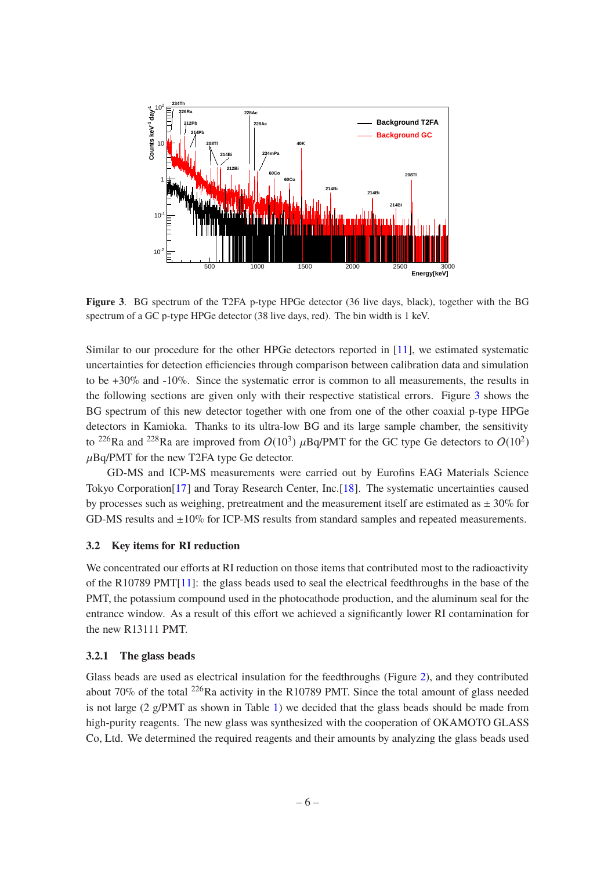

<span id="page-7-2"></span>**Figure 3**. BG spectrum of the T2FA p-type HPGe detector (36 live days, black), together with the BG spectrum of a GC p-type HPGe detector (38 live days, red). The bin width is 1 keV.

Similar to our procedure for the other HPGe detectors reported in [\[11](#page-20-1)], we estimated systematic uncertainties for detection efficiencies through comparison between calibration data and simulation to be  $+30\%$  and  $-10\%$ . Since the systematic error is common to all measurements, the results in the following sections are given only with their respective statistical errors. Figure [3](#page-7-2) shows the BG spectrum of this new detector together with one from one of the other coaxial p-type HPGe detectors in Kamioka. Thanks to its ultra-low BG and its large sample chamber, the sensitivity to <sup>226</sup>Ra and <sup>228</sup>Ra are improved from  $O(10^3)$  µBq/PMT for the GC type Ge detectors to  $O(10^2)$  $\mu$ Bq/PMT for the new T2FA type Ge detector.

GD-MS and ICP-MS measurements were carried out by Eurofins EAG Materials Science Tokyo Corporation[\[17](#page-20-9)] and Toray Research Center, Inc.[\[18\]](#page-20-10). The systematic uncertainties caused by processes such as weighing, pretreatment and the measurement itself are estimated as  $\pm 30\%$  for GD-MS results and ±10% for ICP-MS results from standard samples and repeated measurements.

## <span id="page-7-0"></span>**3.2 Key items for RI reduction**

We concentrated our efforts at RI reduction on those items that contributed most to the radioactivity of the R10789 PMT[\[11\]](#page-20-1): the glass beads used to seal the electrical feedthroughs in the base of the PMT, the potassium compound used in the photocathode production, and the aluminum seal for the entrance window. As a result of this effort we achieved a significantly lower RI contamination for the new R13111 PMT.

#### <span id="page-7-1"></span>**3.2.1 The glass beads**

Glass beads are used as electrical insulation for the feedthroughs (Figure [2\)](#page-5-2), and they contributed about 70% of the total <sup>226</sup>Ra activity in the R10789 PMT. Since the total amount of glass needed is not large (2 g/PMT as shown in Table [1\)](#page-6-0) we decided that the glass beads should be made from high-purity reagents. The new glass was synthesized with the cooperation of OKAMOTO GLASS Co, Ltd. We determined the required reagents and their amounts by analyzing the glass beads used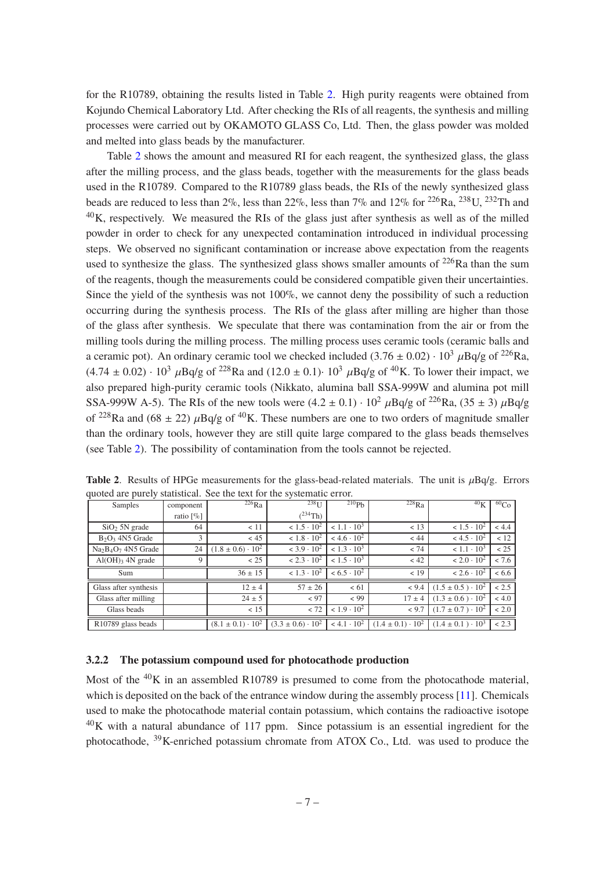for the R10789, obtaining the results listed in Table [2.](#page-8-1) High purity reagents were obtained from Kojundo Chemical Laboratory Ltd. After checking the RIs of all reagents, the synthesis and milling processes were carried out by OKAMOTO GLASS Co, Ltd. Then, the glass powder was molded and melted into glass beads by the manufacturer.

Table [2](#page-8-1) shows the amount and measured RI for each reagent, the synthesized glass, the glass after the milling process, and the glass beads, together with the measurements for the glass beads used in the R10789. Compared to the R10789 glass beads, the RIs of the newly synthesized glass beads are reduced to less than 2%, less than 22%, less than 7% and 12% for <sup>226</sup>Ra, <sup>238</sup>U, <sup>232</sup>Th and  $40$ K, respectively. We measured the RIs of the glass just after synthesis as well as of the milled powder in order to check for any unexpected contamination introduced in individual processing steps. We observed no significant contamination or increase above expectation from the reagents used to synthesize the glass. The synthesized glass shows smaller amounts of  $^{226}$ Ra than the sum of the reagents, though the measurements could be considered compatible given their uncertainties. Since the yield of the synthesis was not 100%, we cannot deny the possibility of such a reduction occurring during the synthesis process. The RIs of the glass after milling are higher than those of the glass after synthesis. We speculate that there was contamination from the air or from the milling tools during the milling process. The milling process uses ceramic tools (ceramic balls and a ceramic pot). An ordinary ceramic tool we checked included  $(3.76 \pm 0.02) \cdot 10^3 \mu$ Bq/g of <sup>226</sup>Ra,  $(4.74 \pm 0.02) \cdot 10^3 \mu$ Bq/g of <sup>228</sup>Ra and  $(12.0 \pm 0.1) \cdot 10^3 \mu$ Bq/g of <sup>40</sup>K. To lower their impact, we also prepared high-purity ceramic tools (Nikkato, alumina ball SSA-999W and alumina pot mill SSA-999W A-5). The RIs of the new tools were  $(4.2 \pm 0.1) \cdot 10^2 \mu Bq/g$  of  $^{226}$ Ra,  $(35 \pm 3) \mu Bq/g$ of <sup>228</sup>Ra and (68  $\pm$  22)  $\mu$ Bq/g of <sup>40</sup>K. These numbers are one to two orders of magnitude smaller than the ordinary tools, however they are still quite large compared to the glass beads themselves (see Table [2\)](#page-8-1). The possibility of contamination from the tools cannot be rejected.

| Samples                          | component    | $^{226}Ra$                   | $238$ U                         | 210P <sub>b</sub>    | $^{228}Ra$                   | 40 <sub>K</sub>              | ${}^{60}Co$ |
|----------------------------------|--------------|------------------------------|---------------------------------|----------------------|------------------------------|------------------------------|-------------|
|                                  | ratio $[\%]$ |                              | $(^{234}Th)$                    |                      |                              |                              |             |
| $SiO2 5N$ grade                  | 64           | < 11                         | $< 1.5 \cdot 10^{2}$            | $< 1.1 \cdot 10^3$   | < 13                         | $< 1.5 \cdot 10^{2}$         | < 4.4       |
| $B_2O_3$ 4N5 Grade               | 3            | < 45                         | $< 1.8 \cdot 10^{2}$            | $< 4.6 \cdot 10^{2}$ | < 44                         | $< 4.5 \cdot 10^{2}$         | < 12        |
| $Na2B4O7$ 4N5 Grade              | 24           | $(1.8 \pm 0.6) \cdot 10^{2}$ | $<$ 3.9 $\cdot$ 10 <sup>2</sup> | $< 1.3 \cdot 10^{3}$ | < 74                         | $< 1.1 \cdot 10^3$           | < 25        |
| $Al(OH)$ <sub>3</sub> $4N$ grade | 9            | < 25                         | $< 2.3 \cdot 10^{2}$            | $< 1.5 \cdot 10^{3}$ | < 42                         | $< 2.0 \cdot 10^2$           | < 7.6       |
| Sum                              |              | $36 \pm 15$                  | $< 1.3 \cdot 10^{2}$            | $< 6.5 \cdot 10^2$   | < 19                         | $< 2.6 \cdot 10^{2}$         | < 6.6       |
| Glass after synthesis            |              | $12 \pm 4$                   | $57 \pm 26$                     | < 61                 | < 9.4                        | $(1.5 \pm 0.5) \cdot 10^{2}$ | < 2.5       |
| Glass after milling              |              | $24 \pm 5$                   | < 97                            | < 99                 | $17 \pm 4$                   | $(1.3 \pm 0.6) \cdot 10^2$   | < 4.0       |
| Glass beads                      |              | < 15                         | < 72                            | $< 1.9 \cdot 10^{2}$ | < 9.7                        | $(1.7 \pm 0.7) \cdot 10^2$   | < 2.0       |
| R10789 glass beads               |              | $(8.1 \pm 0.1) \cdot 10^{2}$ | $(3.3 \pm 0.6) \cdot 10^{2}$    | $< 4.1 \cdot 10^{2}$ | $(1.4 \pm 0.1) \cdot 10^{2}$ | $(1.4 \pm 0.1) \cdot 10^3$   | < 2.3       |

<span id="page-8-1"></span>**Table 2.** Results of HPGe measurements for the glass-bead-related materials. The unit is  $\mu$ Bq/g. Errors quoted are purely statistical. See the text for the systematic error.

# <span id="page-8-0"></span>**3.2.2 The potassium compound used for photocathode production**

Most of the  $^{40}$ K in an assembled R10789 is presumed to come from the photocathode material, which is deposited on the back of the entrance window during the assembly process [\[11\]](#page-20-1). Chemicals used to make the photocathode material contain potassium, which contains the radioactive isotope  $^{40}$ K with a natural abundance of 117 ppm. Since potassium is an essential ingredient for the photocathode, <sup>39</sup>K-enriched potassium chromate from ATOX Co., Ltd. was used to produce the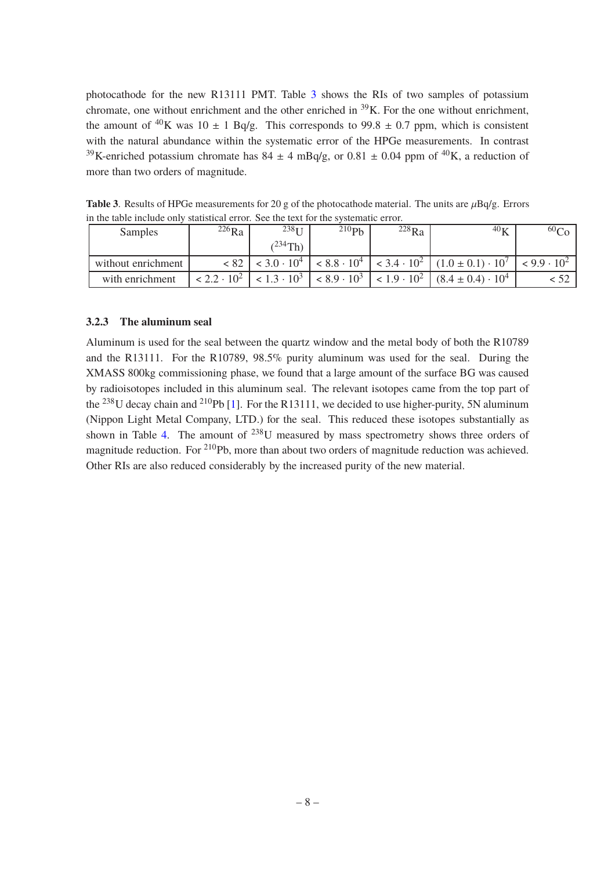photocathode for the new R13111 PMT. Table [3](#page-9-1) shows the RIs of two samples of potassium chromate, one without enrichment and the other enriched in  $39K$ . For the one without enrichment, the amount of <sup>40</sup>K was 10  $\pm$  1 Bq/g. This corresponds to 99.8  $\pm$  0.7 ppm, which is consistent with the natural abundance within the systematic error of the HPGe measurements. In contrast <sup>39</sup>K-enriched potassium chromate has  $84 \pm 4$  mBq/g, or  $0.81 \pm 0.04$  ppm of <sup>40</sup>K, a reduction of more than two orders of magnitude.

<span id="page-9-1"></span>

| <b>Samples</b>     | $^{226}Ra$           | $238$ <sub>II</sub>             | $^{210}Pb$           | $^{228}Ra$ | $40\nu$                                                                | 00 <sub>4</sub>      |  |  |  |  |
|--------------------|----------------------|---------------------------------|----------------------|------------|------------------------------------------------------------------------|----------------------|--|--|--|--|
|                    |                      | $(^{234}Th)$                    |                      |            |                                                                        |                      |  |  |  |  |
| without enrichment | < 82                 | $<$ 3.0 $\cdot$ 10 <sup>4</sup> |                      |            | $< 8.8 \cdot 10^{4}$ $< 3.4 \cdot 10^{2}$ $(1.0 \pm 0.1) \cdot 10^{7}$ | $< 9.9 \cdot 10^{2}$ |  |  |  |  |
| with enrichment    | $< 2.2 \cdot 10^{2}$ | $< 1.3 \cdot 10^{3}$            | $< 8.9 \cdot 10^{3}$ |            | $< 1.9 \cdot 10^{2}$ $(8.4 \pm 0.4) \cdot 10^{4}$                      |                      |  |  |  |  |

**Table 3**. Results of HPGe measurements for 20 g of the photocathode material. The units are  $\mu$ Bq/g. Errors in the table include only statistical error. See the text for the systematic error.

## <span id="page-9-0"></span>**3.2.3 The aluminum seal**

Aluminum is used for the seal between the quartz window and the metal body of both the R10789 and the R13111. For the R10789, 98.5% purity aluminum was used for the seal. During the XMASS 800kg commissioning phase, we found that a large amount of the surface BG was caused by radioisotopes included in this aluminum seal. The relevant isotopes came from the top part of the <sup>238</sup>U decay chain and <sup>210</sup>Pb [\[1](#page-19-1)]. For the R13111, we decided to use higher-purity, 5N aluminum (Nippon Light Metal Company, LTD.) for the seal. This reduced these isotopes substantially as shown in Table [4.](#page-10-0) The amount of  $^{238}$ U measured by mass spectrometry shows three orders of magnitude reduction. For <sup>210</sup>Pb, more than about two orders of magnitude reduction was achieved. Other RIs are also reduced considerably by the increased purity of the new material.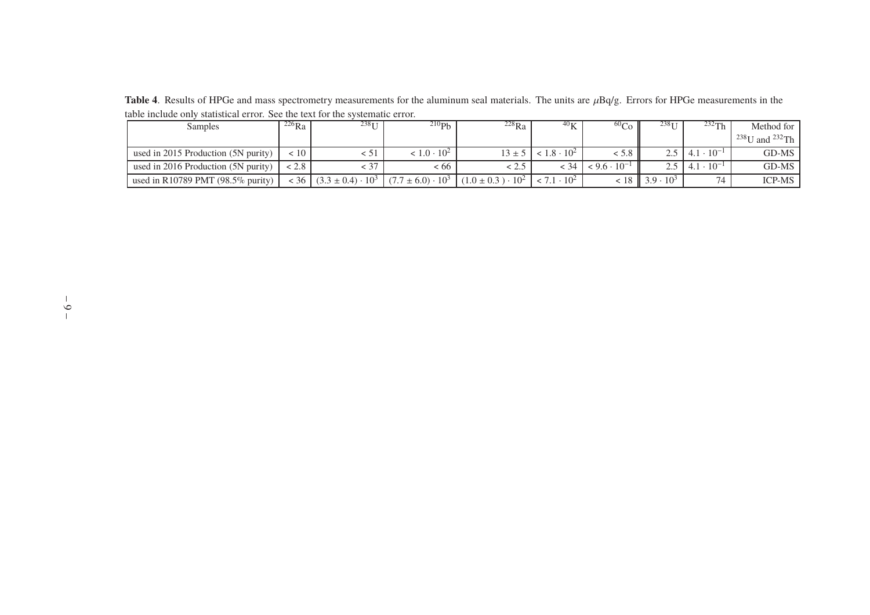**Table 4**. Results of HPGe and mass spectrometry measurements for the aluminum seal materials. The units are  $\mu$ Bq/g. Errors for HPGe measurements in the table include only statistical error. See the text for the systematic error.

<span id="page-10-0"></span>

| <b>Samples</b>                       | $^{226}Ra$ | $238$ <sub>I</sub>         | $^{210}Pb$                 | $^{228}Ra$                 | $40\nu$              | 60 <sub>Co</sub>      | $238$ <sup>T</sup>        | $232$ Th                                | Method for                 |
|--------------------------------------|------------|----------------------------|----------------------------|----------------------------|----------------------|-----------------------|---------------------------|-----------------------------------------|----------------------------|
|                                      |            |                            |                            |                            |                      |                       |                           |                                         | $^{238}$ U and $^{232}$ Th |
| used in 2015 Production (5N purity)  | < 10       | . 1                        | $< 1.0 \cdot 10^{2}$       | $13 \pm 5$                 | $< 1.8 \cdot 10^{2}$ | < 5.8 H               |                           | $2.5 \pm 4.1 \cdot 10^{-1}$             | GD-MS                      |
| used in 2016 Production (5N purity)  | < 2.8      |                            | < 66                       |                            | : 34                 | $< 9.6 \cdot 10^{-1}$ |                           | 2.5 $\mid$ 4.1 $\cdot$ 10 <sup>-1</sup> | GD-MS                      |
| used in R10789 PMT $(98.5\%$ purity) | < 36       | $(3.3 \pm 0.4) \cdot 10^3$ | $(7.7 \pm 6.0) \cdot 10^3$ | $(1.0 \pm 0.3) \cdot 10^2$ | $< 7.1 \cdot 10^{2}$ |                       | $< 18$   3.9 $\cdot 10^3$ | 74                                      | <b>ICP-MS</b>              |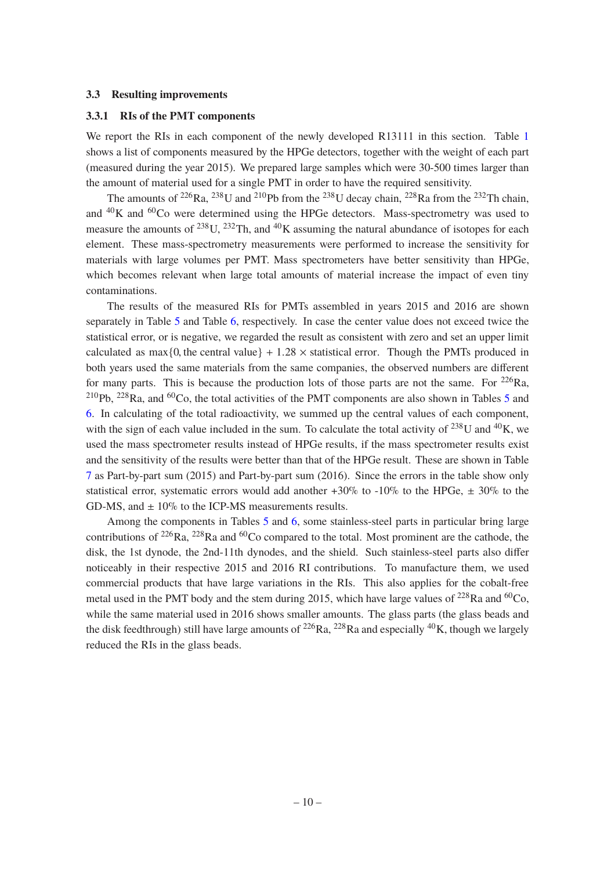#### <span id="page-11-1"></span><span id="page-11-0"></span>**3.3 Resulting improvements**

#### **3.3.1 RIs of the PMT components**

We report the RIs in each component of the newly developed R13111 in this section. Table [1](#page-6-0) shows a list of components measured by the HPGe detectors, together with the weight of each part (measured during the year 2015). We prepared large samples which were 30-500 times larger than the amount of material used for a single PMT in order to have the required sensitivity.

The amounts of  $^{226}Ra$ ,  $^{238}U$  and  $^{210}Pb$  from the  $^{238}U$  decay chain,  $^{228}Ra$  from the  $^{232}Th$  chain, and  $^{40}$ K and  $^{60}$ Co were determined using the HPGe detectors. Mass-spectrometry was used to measure the amounts of  $^{238}$ U,  $^{232}$ Th, and  $^{40}$ K assuming the natural abundance of isotopes for each element. These mass-spectrometry measurements were performed to increase the sensitivity for materials with large volumes per PMT. Mass spectrometers have better sensitivity than HPGe, which becomes relevant when large total amounts of material increase the impact of even tiny contaminations.

The results of the measured RIs for PMTs assembled in years 2015 and 2016 are shown separately in Table [5](#page-12-0) and Table [6,](#page-13-0) respectively. In case the center value does not exceed twice the statistical error, or is negative, we regarded the result as consistent with zero and set an upper limit calculated as  $max{0$ , the central value } + 1.28  $\times$  statistical error. Though the PMTs produced in both years used the same materials from the same companies, the observed numbers are different for many parts. This is because the production lots of those parts are not the same. For  $2^{26}Ra$ ,  $^{210}Pb$ ,  $^{228}Ra$ , and  $^{60}Co$ , the total activities of the PMT components are also shown in Tables [5](#page-12-0) and [6.](#page-13-0) In calculating of the total radioactivity, we summed up the central values of each component, with the sign of each value included in the sum. To calculate the total activity of  $^{238}$ U and  $^{40}$ K, we used the mass spectrometer results instead of HPGe results, if the mass spectrometer results exist and the sensitivity of the results were better than that of the HPGe result. These are shown in Table [7](#page-15-1) as Part-by-part sum (2015) and Part-by-part sum (2016). Since the errors in the table show only statistical error, systematic errors would add another  $+30\%$  to  $-10\%$  to the HPGe,  $\pm 30\%$  to the GD-MS, and  $\pm 10\%$  to the ICP-MS measurements results.

Among the components in Tables [5](#page-12-0) and [6,](#page-13-0) some stainless-steel parts in particular bring large contributions of  $^{226}Ra$ ,  $^{228}Ra$  and  $^{60}Co$  compared to the total. Most prominent are the cathode, the disk, the 1st dynode, the 2nd-11th dynodes, and the shield. Such stainless-steel parts also differ noticeably in their respective 2015 and 2016 RI contributions. To manufacture them, we used commercial products that have large variations in the RIs. This also applies for the cobalt-free metal used in the PMT body and the stem during 2015, which have large values of  $^{228}$ Ra and  $^{60}$ Co, while the same material used in 2016 shows smaller amounts. The glass parts (the glass beads and the disk feedthrough) still have large amounts of  $^{226}Ra$ ,  $^{228}Ra$  and especially  $^{40}K$ , though we largely reduced the RIs in the glass beads.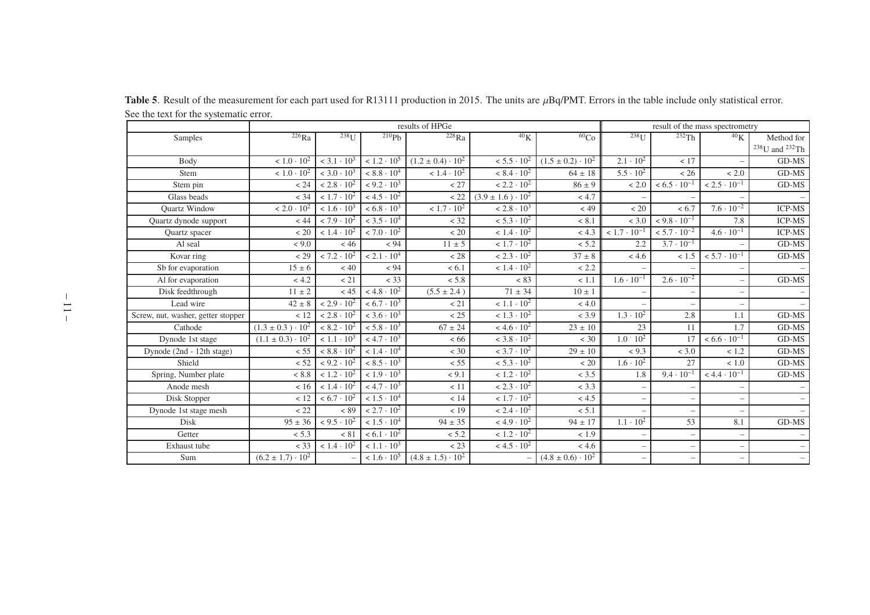<span id="page-12-0"></span>

|                                    |                              |                                 | results of HPGe                 | result of the mass spectrometry |                                 |                              |                          |                          |                          |                                            |
|------------------------------------|------------------------------|---------------------------------|---------------------------------|---------------------------------|---------------------------------|------------------------------|--------------------------|--------------------------|--------------------------|--------------------------------------------|
| Samples                            | $226$ Ra                     | $238$ <sup>I</sup>              | $^{210}Ph$                      | $228$ Ra                        | 40 <sub>K</sub>                 | 60 <sub>Co</sub>             | $238$ <sup>T</sup>       | 232Th                    | 40 <sub>K</sub>          | Method for                                 |
|                                    |                              |                                 |                                 |                                 |                                 |                              |                          |                          |                          | $^{238}\mathrm{U}$ and $^{232}\mathrm{Th}$ |
| Body                               | $< 1.0 \cdot 10^{2}$         | $<$ 3.1 $\cdot$ 10 <sup>3</sup> | $< 1.2 \cdot 10^{5}$            | $(1.2 \pm 0.4) \cdot 10^{2}$    | $< 5.5 \cdot 10^{2}$            | $(1.5 \pm 0.2) \cdot 10^{2}$ | $2.1 \cdot 10^{2}$       | < 17                     |                          | GD-MS                                      |
| Stem                               | $< 1.0 \cdot 10^{2}$         | $<$ 3.0 $\cdot$ 10 <sup>3</sup> | $< 8.8 \cdot 10^4$              | $< 1.4 \cdot 10^{2}$            | $< 8.4 \cdot 10^{2}$            | $64 \pm 18$                  | $5.5 \cdot 10^{2}$       | < 26                     | < 2.0                    | GD-MS                                      |
| Stem pin                           | < 24                         | $< 2.8 \cdot 10^{2}$            | $< 9.2 \cdot 10^{3}$            | < 27                            | $< 2.2 \cdot 10^{2}$            | $86 \pm 9$                   | < 2.0                    | $< 6.5 \cdot 10^{-1}$    | $< 2.5 \cdot 10^{-1}$    | GD-MS                                      |
| Glass beads                        | < 34                         | $< 1.7 \cdot 10^{2}$            | $< 4.5 \cdot 10^{2}$            | < 22                            | $(3.9 \pm 1.6) \cdot 10^{2}$    | < 4.7                        |                          |                          |                          |                                            |
| <b>Ouartz Window</b>               | $< 2.0 \cdot 10^{2}$         | $< 1.6 \cdot 10^{3}$            | $< 6.8 \cdot 10^3$              | $< 1.7 \cdot 10^{2}$            | $< 2.8 \cdot 10^3$              | < 49                         | < 20                     | < 6.7                    | $7.6 \cdot 10^{-2}$      | <b>ICP-MS</b>                              |
| Quartz dynode support              | < 44                         | $< 7.9 \cdot 10^{2}$            | $<$ 3.5 $\cdot$ 10 <sup>4</sup> | < 32                            | $< 5.3 \cdot 10^{2}$            | < 8.1                        | < 3.0                    | $< 9.8 \cdot 10^{-1}$    | 7.8                      | <b>ICP-MS</b>                              |
| Quartz spacer                      | < 20                         | $< 1.4 \cdot 10^{2}$            | $< 7.0 \cdot 10^{2}$            | < 20                            | $< 1.4 \cdot 10^{2}$            | < 4.3                        | $< 1.7 \cdot 10^{-1}$    | $< 5.7 \cdot 10^{-2}$    | $4.6 \cdot 10^{-1}$      | <b>ICP-MS</b>                              |
| Al seal                            | < 9.0                        | < 46                            | < 94                            | $11 \pm 5$                      | $< 1.7 \cdot 10^{2}$            | < 5.2                        | 2.2                      | $3.7 \cdot 10^{-1}$      |                          | GD-MS                                      |
| Kovar ring                         | < 29                         | $< 7.2 \cdot 10^{2}$            | $< 2.1 \cdot 10^{4}$            | < 28                            | $< 2.3 \cdot 10^{2}$            | $37 \pm 8$                   | < 4.6                    | < 1.5                    | $< 5.7 \cdot 10^{-1}$    | GD-MS                                      |
| Sb for evaporation                 | $15 \pm 6$                   | $< 40$                          | < 94                            | < 6.1                           | $< 1.4 \cdot 10^{2}$            | < 2.2                        |                          |                          |                          |                                            |
| Al for evaporation                 | < 4.2                        | < 21                            | < 33                            | < 5.8                           | < 83                            | < 1.1                        | $1.6 \cdot 10^{-1}$      | $2.6 \cdot 10^{-2}$      |                          | GD-MS                                      |
| Disk feedthrough                   | $11 \pm 2$                   | < 45                            | $< 4.8 \cdot 10^{2}$            | $(5.5 \pm 2.4)$                 | $71 \pm 34$                     | $10 \pm 1$                   |                          |                          | -                        |                                            |
| Lead wire                          | $42 \pm 8$                   | $< 2.9 \cdot 10^{2}$            | $< 6.7 \cdot 10^3$              | < 21                            | $< 1.1 \cdot 10^{2}$            | < 4.0                        |                          |                          | $\overline{\phantom{0}}$ |                                            |
| Screw, nut, washer, getter stopper | < 12                         | $< 2.8 \cdot 10^{2}$            | $<$ 3.6 $\cdot$ 10 <sup>3</sup> | < 25                            | $< 1.3 \cdot 10^{2}$            | < 3.9                        | $1.3 \cdot 10^{2}$       | 2.8                      | 1.1                      | GD-MS                                      |
| Cathode                            | $(1.3 \pm 0.3) \cdot 10^{2}$ | $< 8.2 \cdot 10^{2}$            | $< 5.8 \cdot 10^{3}$            | $67 \pm 24$                     | $< 4.6 \cdot 10^{2}$            | $23 \pm 10$                  | 23                       | 11                       | 1.7                      | GD-MS                                      |
| Dynode 1st stage                   | $(1.1 \pm 0.3) \cdot 10^2$   | $< 1.1 \cdot 10^3$              | $< 4.7 \cdot 10^{3}$            | <66                             | $<$ 3.8 $\cdot$ 10 <sup>2</sup> | $<$ 30                       | $1.0 \cdot 10^{2}$       | 17                       | $< 6.6 \cdot 10^{-1}$    | GD-MS                                      |
| Dynode (2nd - 12th stage)          | < 55                         | $< 8.8 \cdot 10^2$              | $< 1.4 \cdot 10^{4}$            | $<$ 30                          | $< 3.7 \cdot 10^{2}$            | $29 \pm 10$                  | < 9.3                    | < 3.0                    | < 1.2                    | GD-MS                                      |
| Shield                             | < 52                         | $< 9.2 \cdot 10^{2}$            | $< 8.5 \cdot 10^{3}$            | < 55                            | $< 5.3 \cdot 10^{2}$            | < 20                         | $1.6 \cdot 10^{2}$       | 27                       | ~1.0                     | GD-MS                                      |
| Spring, Number plate               | < 8.8                        | $< 1.2 \cdot 10^{2}$            | $< 1.9 \cdot 10^{3}$            | < 9.1                           | $< 1.2 \cdot 10^{2}$            | < 3.5                        | 1.8                      | $9.4 \cdot 10^{-1}$      | $< 4.4 \cdot 10^{-1}$    | GD-MS                                      |
| Anode mesh                         | < 16                         | $< 1.4 \cdot 10^{2}$            | $< 4.7 \cdot 10^{3}$            | < 11                            | $< 2.3 \cdot 10^{2}$            | < 3.3                        |                          |                          |                          |                                            |
| Disk Stopper                       | < 12                         | $< 6.7 \cdot 10^{2}$            | $< 1.5 \cdot 10^{4}$            | < 14                            | $< 1.7 \cdot 10^{2}$            | < 4.5                        | $\overline{\phantom{0}}$ |                          |                          |                                            |
| Dynode 1st stage mesh              | < 22                         | ${}< 89$                        | $< 2.7 \cdot 10^{2}$            | < 19                            | $< 2.4 \cdot 10^{2}$            | < 5.1                        |                          |                          |                          |                                            |
| <b>Disk</b>                        | $95 \pm 36$                  | $< 9.5 \cdot 10^{2}$            | $< 1.5 \cdot 10^{4}$            | $94 \pm 35$                     | $< 4.9 \cdot 10^{2}$            | $94 \pm 17$                  | $1.1 \cdot 10^{2}$       | 53                       | 8.1                      | GD-MS                                      |
| Getter                             | < 5.3                        | ${}< 81$                        | $< 6.1 \cdot 10^{2}$            | $< 5.2$                         | $< 1.2 \cdot 10^{2}$            | < 1.9                        | $\overline{\phantom{0}}$ | $\overline{\phantom{0}}$ | $\overline{\phantom{0}}$ |                                            |
| Exhaust tube                       | $<$ 33                       | $< 1.4 \cdot 10^{2}$            | $< 1.1 \cdot 10^3$              | < 23                            | $< 4.5 \cdot 10^{2}$            | < 4.6                        | $\overline{\phantom{0}}$ | $\overline{\phantom{0}}$ | $\overline{\phantom{0}}$ |                                            |
| Sum                                | $(6.2 \pm 1.7) \cdot 10^{2}$ |                                 | $< 1.6 \cdot 10^{5}$            | $(4.8 \pm 1.5) \cdot 10^{2}$    |                                 | $(4.8 \pm 0.6) \cdot 10^{2}$ |                          |                          | $\overline{\phantom{0}}$ |                                            |

**Table 5**. Result of the measurement for each part used for R13111 production in 2015. The units are  $\mu$ Bq/PMT. Errors in the table include only statistical error. See the text for the systematic error.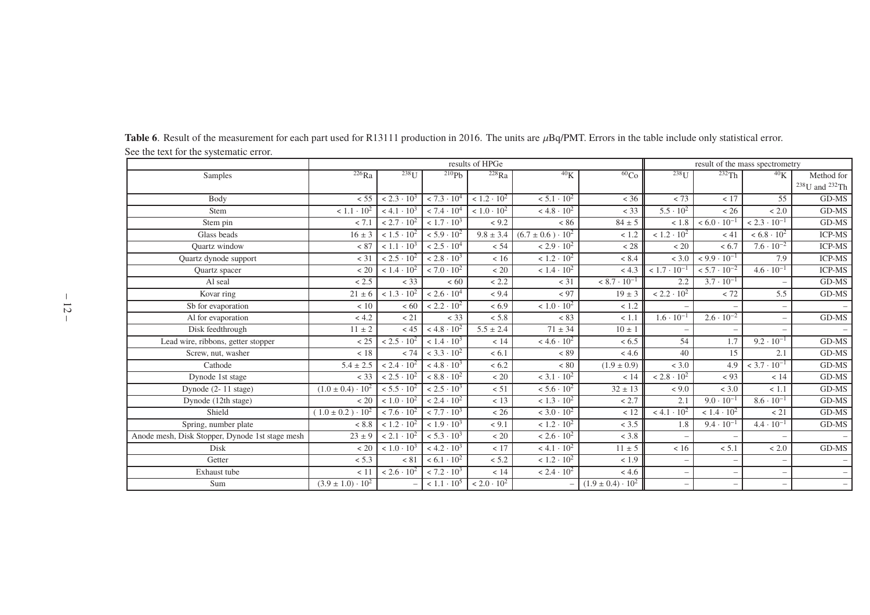<span id="page-13-0"></span>

|                                                 |                              | results of HPGe      |                      |                      |                                       |                              |                          | result of the mass spectrometry |                          |                                            |  |
|-------------------------------------------------|------------------------------|----------------------|----------------------|----------------------|---------------------------------------|------------------------------|--------------------------|---------------------------------|--------------------------|--------------------------------------------|--|
| Samples                                         | $226$ Ra                     | $238$ <sup>U</sup>   | 210Pb                | 228Ra                | ${}^{40}$ K                           | ${}^{60}Co$                  | $238$ <sup>U</sup>       | 232Th                           | ${}^{40}\mathrm{K}$      | Method for                                 |  |
|                                                 |                              |                      |                      |                      |                                       |                              |                          |                                 |                          | $^{238}\mathrm{U}$ and $^{232}\mathrm{Th}$ |  |
| Body                                            | < 55                         | $< 2.3 \cdot 10^3$   | $< 7.3 \cdot 10^{4}$ | $< 1.2 \cdot 10^{2}$ | $< 5.1 \cdot 10^{2}$                  | < 36                         | < 73                     | < 17                            | 55                       | GD-MS                                      |  |
| Stem                                            | $< 1.1 \cdot 10^{2}$         | $< 4.1 \cdot 10^{3}$ | $< 7.4 \cdot 10^{4}$ | $< 1.0 \cdot 10^{2}$ | $< 4.8 \cdot 10^{2}$                  | $<$ 33                       | $5.5 \cdot 10^{2}$       | < 26                            | < 2.0                    | GD-MS                                      |  |
| Stem pin                                        | < 7.1                        | $< 2.7 \cdot 10^{2}$ | $< 1.7 \cdot 10^{3}$ | < 9.2                | < 86                                  | $84 \pm 5$                   | < 1.8                    | $< 6.0 \cdot 10^{-1}$           | $< 2.3 \cdot 10^{-1}$    | $GD-MS$                                    |  |
| Glass beads                                     | $16 \pm 3$                   | $< 1.5 \cdot 10^{2}$ | $< 5.9 \cdot 10^{2}$ | $9.8 \pm 3.4$        | $(6.7 \pm 0.6) \cdot \overline{10^2}$ | < 1.2                        | $< 1.2 \cdot 10^{2}$     | < 41                            | $< 6.8 \cdot 10^2$       | <b>ICP-MS</b>                              |  |
| <b>Ouartz</b> window                            | < 87                         | $< 1.1 \cdot 10^3$   | $< 2.5 \cdot 10^{4}$ | < 54                 | $< 2.9 \cdot 10^{2}$                  | < 28                         | < 20                     | < 6.7                           | $7.6 \cdot 10^{-2}$      | <b>ICP-MS</b>                              |  |
| Quartz dynode support                           | $<$ 31                       | $< 2.5 \cdot 10^{2}$ | $< 2.8 \cdot 10^3$   | < 16                 | $< 1.2 \cdot 10^{2}$                  | < 8.4                        | < 3.0                    | $< 9.9 \cdot 10^{-1}$           | 7.9                      | <b>ICP-MS</b>                              |  |
| Quartz spacer                                   | < 20                         | $< 1.4 \cdot 10^{2}$ | $< 7.0 \cdot 10^{2}$ | $< 20$               | $< 1.4 \cdot 10^{2}$                  | < 4.3                        | $< 1.7 \cdot 10^{-1}$    | $< 5.7 \cdot 10^{-2}$           | $4.6 \cdot 10^{-1}$      | <b>ICP-MS</b>                              |  |
| Al seal                                         | < 2.5                        | < 33                 | <60                  | < 2.2                | $<$ 31                                | $< 8.7 \cdot 10^{-1}$        | 2.2                      | $3.7 \cdot 10^{-1}$             |                          | GD-MS                                      |  |
| Kovar ring                                      | $21 \pm 6$                   | $< 1.3 \cdot 10^{2}$ | $< 2.6 \cdot 10^{4}$ | < 9.4                | < 97                                  | $19 \pm 3$                   | $< 2.2 \cdot 10^{2}$     | $< 72$                          | 5.5                      | GD-MS                                      |  |
| Sb for evaporation                              | < 10                         | <60                  | $< 2.2 \cdot 10^2$   | < 6.9                | $< 1.0 \cdot 10^{2}$                  | < 1.2                        |                          |                                 |                          | $-$                                        |  |
| Al for evaporation                              | < 4.2                        | < 21                 | < 33                 | < 5.8                | < 83                                  | < 1.1                        | $1.6 \cdot 10^{-1}$      | $2.6 \cdot 10^{-2}$             |                          | $GD-MS$                                    |  |
| Disk feedthrough                                | $11 \pm 2$                   | < 45                 | $< 4.8 \cdot 10^{2}$ | $5.5 \pm 2.4$        | $71 \pm 34$                           | $10 \pm 1$                   |                          |                                 |                          | $\overline{\phantom{m}}$                   |  |
| Lead wire, ribbons, getter stopper              | < 25                         | $< 2.5 \cdot 10^{2}$ | $< 1.4 \cdot 10^{3}$ | < 14                 | $< 4.6 \cdot 10^{2}$                  | < 6.5                        | 54                       | 1.7                             | $9.2 \cdot 10^{-1}$      | GD-MS                                      |  |
| Screw, nut, washer                              | < 18                         | < 74                 | $< 3.3 \cdot 10^{2}$ | < 6.1                | < 89                                  | < 4.6                        | 40                       | 15                              | 2.1                      | $GD-MS$                                    |  |
| Cathode                                         | $5.4 \pm 2.5$                | $< 2.4 \cdot 10^{2}$ | $< 4.8 \cdot 10^{3}$ | < 6.2                | < 80                                  | $(1.9 \pm 0.9)$              | < 3.0                    | 4.9                             | $< 3.7 \cdot 10^{-1}$    | GD-MS                                      |  |
| Dynode 1st stage                                | < 33                         | $< 2.5 \cdot 10^{2}$ | $< 8.8 \cdot 10^{2}$ | $< 20$               | $<$ 3.1 $\cdot$ 10 <sup>2</sup>       | < 14                         | $< 2.8 \cdot 10^{2}$     | < 93                            | < 14                     | GD-MS                                      |  |
| Dynode (2-11 stage)                             | $(1.0 \pm 0.4) \cdot 10^{2}$ | $< 5.5 \cdot 10^{2}$ | $< 2.5 \cdot 10^{3}$ | < 51                 | $< 5.6 \cdot 10^{2}$                  | $32 \pm 13$                  | < 9.0                    | < 3.0                           | < 1.1                    | $GD-MS$                                    |  |
| Dynode (12th stage)                             | < 20                         | $< 1.0 \cdot 10^{2}$ | $< 2.4 \cdot 10^{2}$ | < 13                 | $< 1.3 \cdot 10^{2}$                  | < 2.7                        | 2.1                      | $9.0 \cdot 10^{-1}$             | $8.6 \cdot 10^{-1}$      | GD-MS                                      |  |
| Shield                                          | $(1.0 \pm 0.2) \cdot 10^{2}$ | $< 7.6 \cdot 10^{2}$ | $< 7.7 \cdot 10^{3}$ | < 26                 | $<$ 3.0 $\cdot$ 10 <sup>2</sup>       | < 12                         | $< 4.1 \cdot 10^{2}$     | $< 1.4 \cdot 10^{2}$            | < 21                     | GD-MS                                      |  |
| Spring, number plate                            | < 8.8                        | $< 1.2 \cdot 10^{2}$ | $< 1.9 \cdot 10^{3}$ | < 9.1                | $< 1.2 \cdot 10^{2}$                  | < 3.5                        | 1.8                      | $9.4 \cdot 10^{-1}$             | $4.4 \cdot 10^{-1}$      | GD-MS                                      |  |
| Anode mesh, Disk Stopper, Dynode 1st stage mesh | $23 \pm 9$                   | $< 2.1 \cdot 10^2$   | $< 5.3 \cdot 10^{3}$ | < 20                 | $< 2.6 \cdot 10^{2}$                  | < 3.8                        |                          |                                 |                          | $\overline{\phantom{a}}$                   |  |
| Disk                                            | < 20                         | $< 1.0 \cdot 10^{3}$ | $< 4.2 \cdot 10^{3}$ | < 17                 | $< 4.1 \cdot 10^{2}$                  | $11 \pm 5$                   | < 16                     | < 5.1                           | < 2.0                    | GD-MS                                      |  |
| Getter                                          | < 5.3                        | < 81                 | $< 6.1 \cdot 10^{2}$ | < 5.2                | $< 1.2 \cdot 10^{2}$                  | < 1.9                        |                          |                                 |                          | $\overline{\phantom{0}}$                   |  |
| Exhaust tube                                    | < 11                         | $< 2.6 \cdot 10^{2}$ | $< 7.2 \cdot 10^3$   | < 14                 | $< 2.4 \cdot 10^{2}$                  | < 4.6                        | $\overline{\phantom{a}}$ | $\overline{\phantom{0}}$        | $\overline{\phantom{0}}$ | $\overline{\phantom{a}}$                   |  |
| Sum                                             | $(3.9 \pm 1.0) \cdot 10^{2}$ |                      | $< 1.1 \cdot 10^{5}$ | $< 2.0 \cdot 10^{2}$ |                                       | $(1.9 \pm 0.4) \cdot 10^{2}$ |                          |                                 | $\overline{\phantom{0}}$ | $-$                                        |  |

**Table 6**. Result of the measurement for each part used for R13111 production in 2016. The units are  $\mu$ Bq/PMT. Errors in the table include only statistical error. See the text for the systematic error.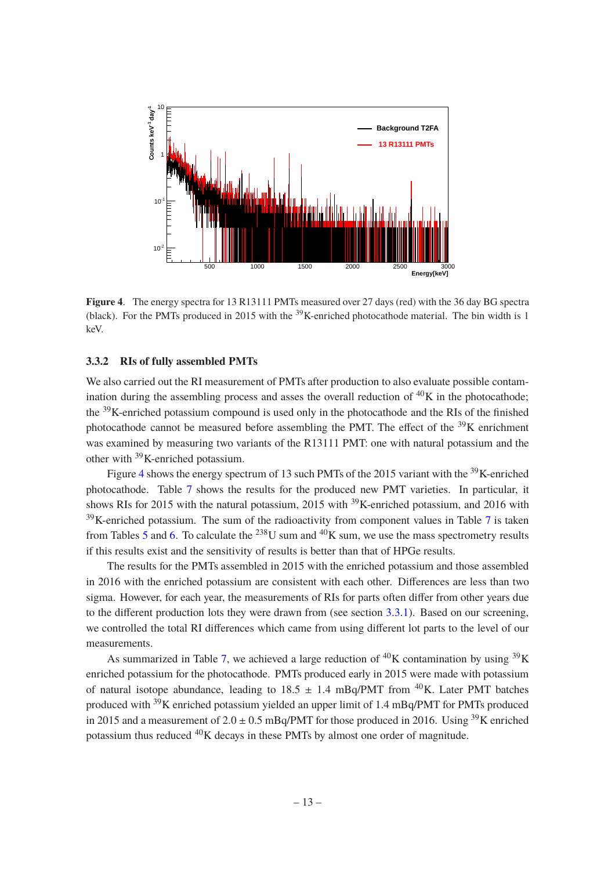

<span id="page-14-1"></span>**Figure 4**. The energy spectra for 13 R13111 PMTs measured over 27 days (red) with the 36 day BG spectra (black). For the PMTs produced in 2015 with the  $^{39}$ K-enriched photocathode material. The bin width is 1 keV.

#### <span id="page-14-0"></span>**3.3.2 RIs of fully assembled PMTs**

We also carried out the RI measurement of PMTs after production to also evaluate possible contamination during the assembling process and asses the overall reduction of  ${}^{40}K$  in the photocathode; the <sup>39</sup>K-enriched potassium compound is used only in the photocathode and the RIs of the finished photocathode cannot be measured before assembling the PMT. The effect of the  $39K$  enrichment was examined by measuring two variants of the R13111 PMT: one with natural potassium and the other with <sup>39</sup>K-enriched potassium.

Figure [4](#page-14-1) shows the energy spectrum of 13 such PMTs of the 2015 variant with the <sup>39</sup>K-enriched photocathode. Table [7](#page-15-1) shows the results for the produced new PMT varieties. In particular, it shows RIs for 2015 with the natural potassium, 2015 with  $^{39}$ K-enriched potassium, and 2016 with  $39$ K-enriched potassium. The sum of the radioactivity from component values in Table [7](#page-15-1) is taken from Tables [5](#page-12-0) and [6.](#page-13-0) To calculate the  $^{238}$ U sum and  $^{40}$ K sum, we use the mass spectrometry results if this results exist and the sensitivity of results is better than that of HPGe results.

The results for the PMTs assembled in 2015 with the enriched potassium and those assembled in 2016 with the enriched potassium are consistent with each other. Differences are less than two sigma. However, for each year, the measurements of RIs for parts often differ from other years due to the different production lots they were drawn from (see section [3.3.1\)](#page-11-1). Based on our screening, we controlled the total RI differences which came from using different lot parts to the level of our measurements.

As summarized in Table [7,](#page-15-1) we achieved a large reduction of  ${}^{40}$ K contamination by using  ${}^{39}$ K enriched potassium for the photocathode. PMTs produced early in 2015 were made with potassium of natural isotope abundance, leading to  $18.5 \pm 1.4$  mBq/PMT from <sup>40</sup>K. Later PMT batches produced with <sup>39</sup>K enriched potassium yielded an upper limit of 1.4 mBq/PMT for PMTs produced in 2015 and a measurement of  $2.0 \pm 0.5$  mBq/PMT for those produced in 2016. Using <sup>39</sup>K enriched potassium thus reduced  ${}^{40}$ K decays in these PMTs by almost one order of magnitude.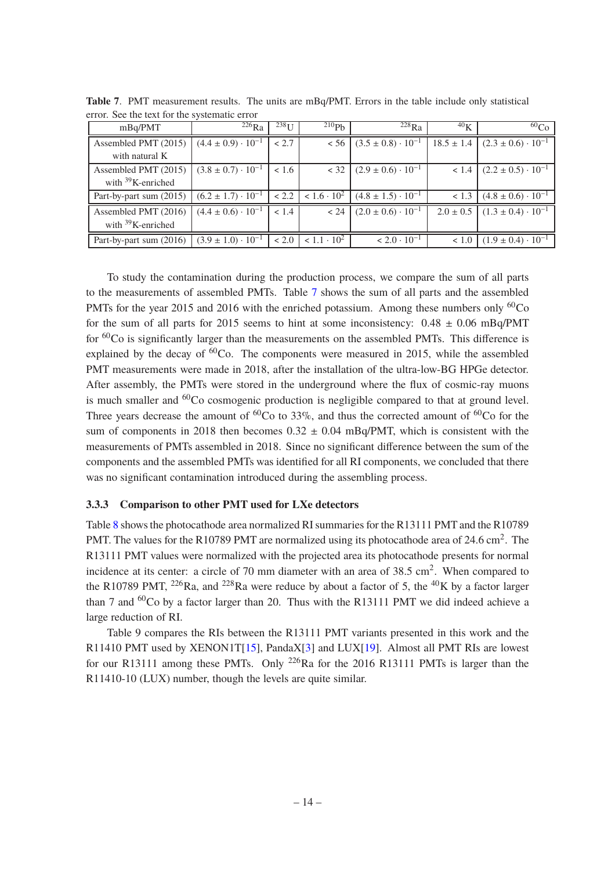| mBq/PMT                 | $^{226}Ra$                    | $\overline{2}38$ <sub>II</sub> | $^{210}Pb$           | $^{228}Ra$                    | 40 <sub>K</sub> | 60 <sub>Co</sub>              |
|-------------------------|-------------------------------|--------------------------------|----------------------|-------------------------------|-----------------|-------------------------------|
| Assembled PMT (2015)    | $(4.4 \pm 0.9) \cdot 10^{-1}$ | < 2.7                          | < 56                 | $(3.5 \pm 0.8) \cdot 10^{-1}$ | $18.5 \pm 1.4$  | $(2.3 \pm 0.6) \cdot 10^{-1}$ |
| with natural K          |                               |                                |                      |                               |                 |                               |
| Assembled PMT (2015)    | $(3.8 \pm 0.7) \cdot 10^{-1}$ | < 1.6                          | < 32                 | $(2.9 \pm 0.6) \cdot 10^{-1}$ | < 1.4           | $(2.2 \pm 0.5) \cdot 10^{-1}$ |
| with $39$ K-enriched    |                               |                                |                      |                               |                 |                               |
| Part-by-part sum (2015) | $(6.2 \pm 1.7) \cdot 10^{-1}$ | < 2.2                          | $< 1.6 \cdot 10^{2}$ | $(4.8 \pm 1.5) \cdot 10^{-1}$ | < 1.3           | $(4.8 \pm 0.6) \cdot 10^{-1}$ |
| Assembled PMT (2016)    | $(4.4 \pm 0.6) \cdot 10^{-1}$ | < 1.4                          | < 24                 | $(2.0 \pm 0.6) \cdot 10^{-1}$ | $2.0 \pm 0.5$   | $(1.3 \pm 0.4) \cdot 10^{-1}$ |
| with $39$ K-enriched    |                               |                                |                      |                               |                 |                               |
| Part-by-part sum (2016) | $(3.9 \pm 1.0) \cdot 10^{-1}$ | ~12.0                          | $< 1.1 \cdot 10^{2}$ | $< 2.0 \cdot 10^{-1}$         | ~1.0            | $(1.9 \pm 0.4) \cdot 10^{-1}$ |

<span id="page-15-1"></span>**Table 7**. PMT measurement results. The units are mBq/PMT. Errors in the table include only statistical error. See the text for the systematic error

To study the contamination during the production process, we compare the sum of all parts to the measurements of assembled PMTs. Table [7](#page-15-1) shows the sum of all parts and the assembled PMTs for the year 2015 and 2016 with the enriched potassium. Among these numbers only  ${}^{60}Co$ for the sum of all parts for 2015 seems to hint at some inconsistency:  $0.48 \pm 0.06$  mBq/PMT for  ${}^{60}$ Co is significantly larger than the measurements on the assembled PMTs. This difference is explained by the decay of  ${}^{60}Co$ . The components were measured in 2015, while the assembled PMT measurements were made in 2018, after the installation of the ultra-low-BG HPGe detector. After assembly, the PMTs were stored in the underground where the flux of cosmic-ray muons is much smaller and <sup>60</sup>Co cosmogenic production is negligible compared to that at ground level. Three years decrease the amount of  ${}^{60}Co$  to 33%, and thus the corrected amount of  ${}^{60}Co$  for the sum of components in 2018 then becomes  $0.32 \pm 0.04$  mBq/PMT, which is consistent with the measurements of PMTs assembled in 2018. Since no significant difference between the sum of the components and the assembled PMTs was identified for all RI components, we concluded that there was no significant contamination introduced during the assembling process.

#### <span id="page-15-0"></span>**3.3.3 Comparison to other PMT used for LXe detectors**

Table [8](#page-16-2) shows the photocathode area normalized RI summaries for the R13111 PMT and the R10789 PMT. The values for the R10789 PMT are normalized using its photocathode area of 24.6 cm<sup>2</sup>. The R13111 PMT values were normalized with the projected area its photocathode presents for normal incidence at its center: a circle of 70 mm diameter with an area of 38.5 cm<sup>2</sup>. When compared to the R10789 PMT, <sup>226</sup>Ra, and <sup>228</sup>Ra were reduce by about a factor of 5, the <sup>40</sup>K by a factor larger than 7 and  ${}^{60}Co$  by a factor larger than 20. Thus with the R13111 PMT we did indeed achieve a large reduction of RI.

Table 9 compares the RIs between the R13111 PMT variants presented in this work and the R11410 PMT used by XENON1T[\[15](#page-20-6)], PandaX[\[3](#page-19-4)] and LUX[\[19](#page-20-11)]. Almost all PMT RIs are lowest for our R13111 among these PMTs. Only <sup>226</sup>Ra for the 2016 R13111 PMTs is larger than the R11410-10 (LUX) number, though the levels are quite similar.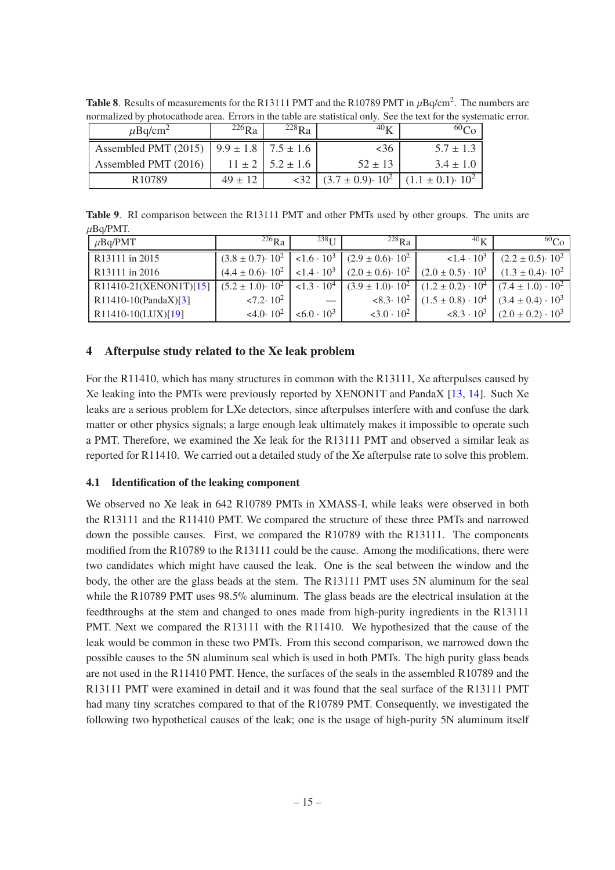<span id="page-16-2"></span>

| $\mu$ Bq/cm <sup>2</sup>                             | $^{226}Ra$  | $^{228}$ Ra                | $40\,\mathrm{K}$                                          | 60C <sub>0</sub> |
|------------------------------------------------------|-------------|----------------------------|-----------------------------------------------------------|------------------|
| Assembled PMT (2015)   $9.9 \pm 1.8$   $7.5 \pm 1.6$ |             |                            | <36                                                       | $5.7 \pm 1.3$    |
| Assembled PMT (2016)                                 |             | $11 \pm 2$   5.2 $\pm$ 1.6 | $52 \pm 13$                                               | $3.4 \pm 1.0$    |
| R <sub>10789</sub>                                   | $49 \pm 12$ | <32                        | $(3.7 \pm 0.9) \cdot 10^{2}$ $(1.1 \pm 0.1) \cdot 10^{2}$ |                  |

**Table 8.** Results of measurements for the R13111 PMT and the R10789 PMT in  $\mu$ Bq/cm<sup>2</sup>. The numbers are normalized by photocathode area. Errors in the table are statistical only. See the text for the systematic error.

**Table 9**. RI comparison between the R13111 PMT and other PMTs used by other groups. The units are  $\mu$ Bq/PMT.

| $\mu$ Bq/PMT               | $^{226}Ra$                     | $238$ <sub>II</sub> | $^{228}Ra$                   | 40 <sub>K</sub>            | ${}^{60}Co$                    |
|----------------------------|--------------------------------|---------------------|------------------------------|----------------------------|--------------------------------|
| R <sub>13111</sub> in 2015 | $(3.8 \pm 0.7)$ $\cdot 10^{2}$ | $1.6 \cdot 10^3$    | $(2.9 \pm 0.6) \cdot 10^{2}$ | $< 1.4 \cdot 10^3$         | $(2.2 \pm 0.5)$ $\cdot 10^{2}$ |
| R <sub>13111</sub> in 2016 | $(4.4 \pm 0.6) \cdot 10^{2}$   | $1.4 \cdot 10^3$    | $(2.0 \pm 0.6) \cdot 10^{2}$ | $(2.0 \pm 0.5) \cdot 10^3$ | $(1.3 \pm 0.4) \cdot 10^{2}$   |
| R11410-21(XENON1T)[15]     | $(5.2 \pm 1.0)$ $\cdot 10^{2}$ | $< 1.3 \cdot 10^4$  | $(3.9 \pm 1.0) \cdot 10^{2}$ | $(1.2 \pm 0.2) \cdot 10^4$ | $(7.4 \pm 1.0) \cdot 10^{2}$   |
| R11410-10(PandaX)[3]       | $2.2 \cdot 10^2$               |                     | $< 8.3 \cdot 10^2$           | $(1.5 \pm 0.8) \cdot 10^4$ | $(3.4 \pm 0.4) \cdot 10^3$     |
| R11410-10(LUX)[19]         | <4.0.10 <sup>2</sup>           | $<6.0 \cdot 10^3$   | $< 3.0 \cdot 10^2$           | $< 8.3 \cdot 10^3$         | $(2.0 \pm 0.2) \cdot 10^3$     |

# <span id="page-16-0"></span>**4 Afterpulse study related to the Xe leak problem**

For the R11410, which has many structures in common with the R13111, Xe afterpulses caused by Xe leaking into the PMTs were previously reported by XENON1T and PandaX [\[13](#page-20-4), [14](#page-20-5)]. Such Xe leaks are a serious problem for LXe detectors, since afterpulses interfere with and confuse the dark matter or other physics signals; a large enough leak ultimately makes it impossible to operate such a PMT. Therefore, we examined the Xe leak for the R13111 PMT and observed a similar leak as reported for R11410. We carried out a detailed study of the Xe afterpulse rate to solve this problem.

# <span id="page-16-1"></span>**4.1 Identification of the leaking component**

We observed no Xe leak in 642 R10789 PMTs in XMASS-I, while leaks were observed in both the R13111 and the R11410 PMT. We compared the structure of these three PMTs and narrowed down the possible causes. First, we compared the R10789 with the R13111. The components modified from the R10789 to the R13111 could be the cause. Among the modifications, there were two candidates which might have caused the leak. One is the seal between the window and the body, the other are the glass beads at the stem. The R13111 PMT uses 5N aluminum for the seal while the R10789 PMT uses 98.5% aluminum. The glass beads are the electrical insulation at the feedthroughs at the stem and changed to ones made from high-purity ingredients in the R13111 PMT. Next we compared the R13111 with the R11410. We hypothesized that the cause of the leak would be common in these two PMTs. From this second comparison, we narrowed down the possible causes to the 5N aluminum seal which is used in both PMTs. The high purity glass beads are not used in the R11410 PMT. Hence, the surfaces of the seals in the assembled R10789 and the R13111 PMT were examined in detail and it was found that the seal surface of the R13111 PMT had many tiny scratches compared to that of the R10789 PMT. Consequently, we investigated the following two hypothetical causes of the leak; one is the usage of high-purity 5N aluminum itself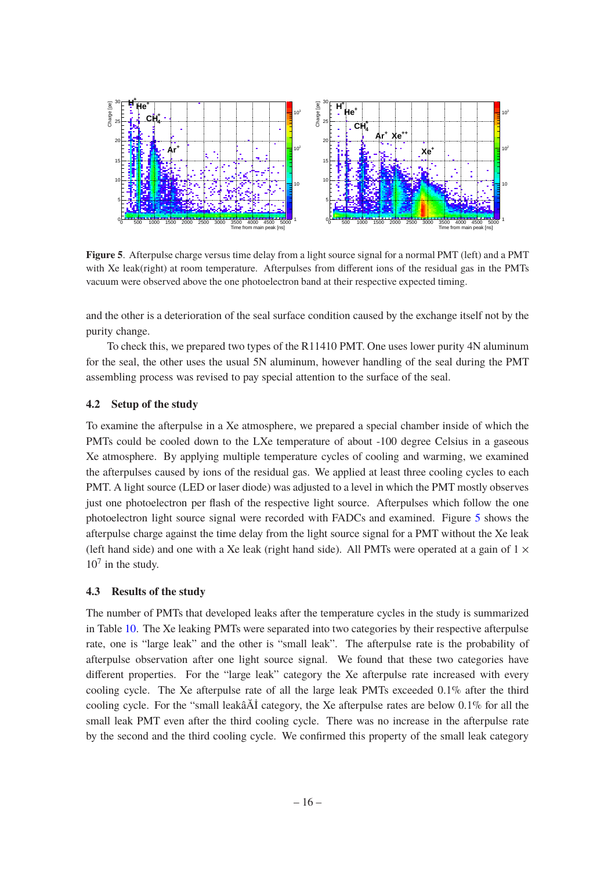

<span id="page-17-2"></span>**Figure 5**. Afterpulse charge versus time delay from a light source signal for a normal PMT (left) and a PMT with Xe leak(right) at room temperature. Afterpulses from different ions of the residual gas in the PMTs vacuum were observed above the one photoelectron band at their respective expected timing.

and the other is a deterioration of the seal surface condition caused by the exchange itself not by the purity change.

To check this, we prepared two types of the R11410 PMT. One uses lower purity 4N aluminum for the seal, the other uses the usual 5N aluminum, however handling of the seal during the PMT assembling process was revised to pay special attention to the surface of the seal.

# <span id="page-17-0"></span>**4.2 Setup of the study**

To examine the afterpulse in a Xe atmosphere, we prepared a special chamber inside of which the PMTs could be cooled down to the LXe temperature of about -100 degree Celsius in a gaseous Xe atmosphere. By applying multiple temperature cycles of cooling and warming, we examined the afterpulses caused by ions of the residual gas. We applied at least three cooling cycles to each PMT. A light source (LED or laser diode) was adjusted to a level in which the PMT mostly observes just one photoelectron per flash of the respective light source. Afterpulses which follow the one photoelectron light source signal were recorded with FADCs and examined. Figure [5](#page-17-2) shows the afterpulse charge against the time delay from the light source signal for a PMT without the Xe leak (left hand side) and one with a Xe leak (right hand side). All PMTs were operated at a gain of  $1 \times$  $10<sup>7</sup>$  in the study.

#### <span id="page-17-1"></span>**4.3 Results of the study**

The number of PMTs that developed leaks after the temperature cycles in the study is summarized in Table [10.](#page-18-1) The Xe leaking PMTs were separated into two categories by their respective afterpulse rate, one is "large leak" and the other is "small leak". The afterpulse rate is the probability of afterpulse observation after one light source signal. We found that these two categories have different properties. For the "large leak" category the Xe afterpulse rate increased with every cooling cycle. The Xe afterpulse rate of all the large leak PMTs exceeded 0.1% after the third cooling cycle. For the "small leakâĂİ category, the Xe afterpulse rates are below 0.1% for all the small leak PMT even after the third cooling cycle. There was no increase in the afterpulse rate by the second and the third cooling cycle. We confirmed this property of the small leak category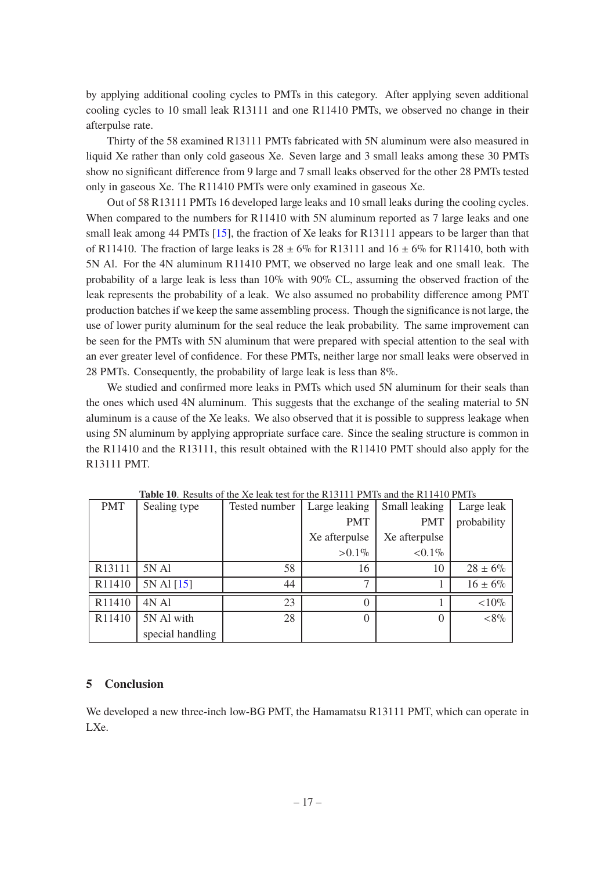by applying additional cooling cycles to PMTs in this category. After applying seven additional cooling cycles to 10 small leak R13111 and one R11410 PMTs, we observed no change in their afterpulse rate.

Thirty of the 58 examined R13111 PMTs fabricated with 5N aluminum were also measured in liquid Xe rather than only cold gaseous Xe. Seven large and 3 small leaks among these 30 PMTs show no significant difference from 9 large and 7 small leaks observed for the other 28 PMTs tested only in gaseous Xe. The R11410 PMTs were only examined in gaseous Xe.

Out of 58 R13111 PMTs 16 developed large leaks and 10 small leaks during the cooling cycles. When compared to the numbers for R11410 with 5N aluminum reported as 7 large leaks and one small leak among 44 PMTs [\[15\]](#page-20-6), the fraction of Xe leaks for R13111 appears to be larger than that of R11410. The fraction of large leaks is  $28 \pm 6\%$  for R13111 and  $16 \pm 6\%$  for R11410, both with 5N Al. For the 4N aluminum R11410 PMT, we observed no large leak and one small leak. The probability of a large leak is less than 10% with 90% CL, assuming the observed fraction of the leak represents the probability of a leak. We also assumed no probability difference among PMT production batches if we keep the same assembling process. Though the significance is not large, the use of lower purity aluminum for the seal reduce the leak probability. The same improvement can be seen for the PMTs with 5N aluminum that were prepared with special attention to the seal with an ever greater level of confidence. For these PMTs, neither large nor small leaks were observed in 28 PMTs. Consequently, the probability of large leak is less than 8%.

We studied and confirmed more leaks in PMTs which used 5N aluminum for their seals than the ones which used 4N aluminum. This suggests that the exchange of the sealing material to 5N aluminum is a cause of the Xe leaks. We also observed that it is possible to suppress leakage when using 5N aluminum by applying appropriate surface care. Since the sealing structure is common in the R11410 and the R13111, this result obtained with the R11410 PMT should also apply for the R13111 PMT.

| <b>PMT</b> | Sealing type     | Tested number | Large leaking | Small leaking | Large leak   |
|------------|------------------|---------------|---------------|---------------|--------------|
|            |                  |               | <b>PMT</b>    | <b>PMT</b>    | probability  |
|            |                  |               | Xe afterpulse | Xe afterpulse |              |
|            |                  |               | $>0.1\%$      | ${<}0.1\%$    |              |
| R13111     | 5N Al            | 58            | 16            | 10            | $28 \pm 6\%$ |
| R11410     | 5N Al [15]       | 44            | ⇁             |               | $16 \pm 6\%$ |
| R11410     | 4N Al            | 23            |               |               | ${<}10\%$    |
| R11410     | 5N Al with       | 28            |               | $\theta$      | $<\!\!8\%$   |
|            | special handling |               |               |               |              |

<span id="page-18-1"></span>**Table 10**. Results of the Xe leak test for the R13111 PMTs and the R11410 PMTs

## <span id="page-18-0"></span>**5 Conclusion**

We developed a new three-inch low-BG PMT, the Hamamatsu R13111 PMT, which can operate in LXe.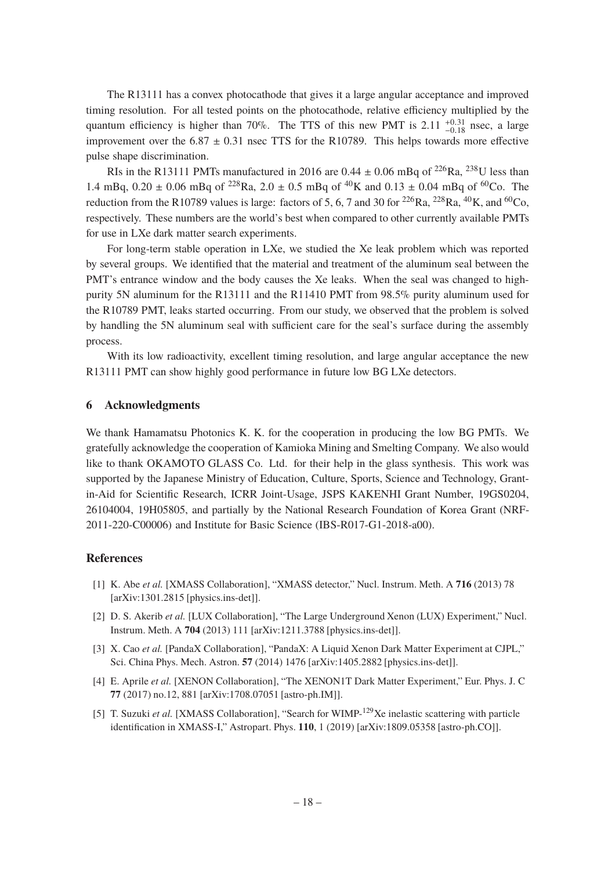The R13111 has a convex photocathode that gives it a large angular acceptance and improved timing resolution. For all tested points on the photocathode, relative efficiency multiplied by the quantum efficiency is higher than 70%. The TTS of this new PMT is 2.11  $^{+0.31}_{-0.18}$  nsec, a large improvement over the  $6.87 \pm 0.31$  nsec TTS for the R10789. This helps towards more effective pulse shape discrimination.

RIs in the R13111 PMTs manufactured in 2016 are  $0.44 \pm 0.06$  mBq of <sup>226</sup>Ra, <sup>238</sup>U less than 1.4 mBq,  $0.20 \pm 0.06$  mBq of <sup>228</sup>Ra,  $2.0 \pm 0.5$  mBq of <sup>40</sup>K and  $0.13 \pm 0.04$  mBq of <sup>60</sup>Co. The reduction from the R10789 values is large: factors of 5, 6, 7 and 30 for <sup>226</sup>Ra, <sup>228</sup>Ra, <sup>40</sup>K, and <sup>60</sup>Co, respectively. These numbers are the world's best when compared to other currently available PMTs for use in LXe dark matter search experiments.

For long-term stable operation in LXe, we studied the Xe leak problem which was reported by several groups. We identified that the material and treatment of the aluminum seal between the PMT's entrance window and the body causes the Xe leaks. When the seal was changed to highpurity 5N aluminum for the R13111 and the R11410 PMT from 98.5% purity aluminum used for the R10789 PMT, leaks started occurring. From our study, we observed that the problem is solved by handling the 5N aluminum seal with sufficient care for the seal's surface during the assembly process.

With its low radioactivity, excellent timing resolution, and large angular acceptance the new R13111 PMT can show highly good performance in future low BG LXe detectors.

#### <span id="page-19-0"></span>**6 Acknowledgments**

We thank Hamamatsu Photonics K. K. for the cooperation in producing the low BG PMTs. We gratefully acknowledge the cooperation of Kamioka Mining and Smelting Company. We also would like to thank OKAMOTO GLASS Co. Ltd. for their help in the glass synthesis. This work was supported by the Japanese Ministry of Education, Culture, Sports, Science and Technology, Grantin-Aid for Scientific Research, ICRR Joint-Usage, JSPS KAKENHI Grant Number, 19GS0204, 26104004, 19H05805, and partially by the National Research Foundation of Korea Grant (NRF-2011-220-C00006) and Institute for Basic Science (IBS-R017-G1-2018-a00).

## **References**

- <span id="page-19-1"></span>[1] K. Abe *et al.* [XMASS Collaboration], "XMASS detector," Nucl. Instrum. Meth. A **716** (2013) 78 [arXiv:1301.2815 [physics.ins-det]].
- [2] D. S. Akerib *et al.* [LUX Collaboration], "The Large Underground Xenon (LUX) Experiment," Nucl. Instrum. Meth. A **704** (2013) 111 [arXiv:1211.3788 [physics.ins-det]].
- <span id="page-19-4"></span>[3] X. Cao *et al.* [PandaX Collaboration], "PandaX: A Liquid Xenon Dark Matter Experiment at CJPL," Sci. China Phys. Mech. Astron. **57** (2014) 1476 [arXiv:1405.2882 [physics.ins-det]].
- <span id="page-19-2"></span>[4] E. Aprile *et al.* [XENON Collaboration], "The XENON1T Dark Matter Experiment," Eur. Phys. J. C **77** (2017) no.12, 881 [arXiv:1708.07051 [astro-ph.IM]].
- <span id="page-19-3"></span>[5] T. Suzuki *et al.* [XMASS Collaboration], "Search for WIMP-<sup>129</sup>Xe inelastic scattering with particle identification in XMASS-I," Astropart. Phys. **110**, 1 (2019) [arXiv:1809.05358 [astro-ph.CO]].